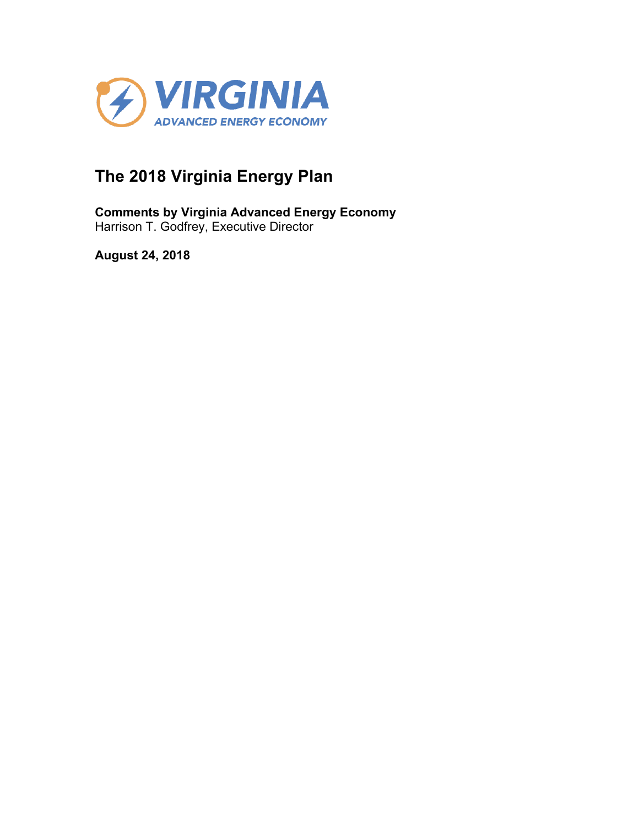

# **The 2018 Virginia Energy Plan**

**Comments by Virginia Advanced Energy Economy** Harrison T. Godfrey, Executive Director

**August 24, 2018**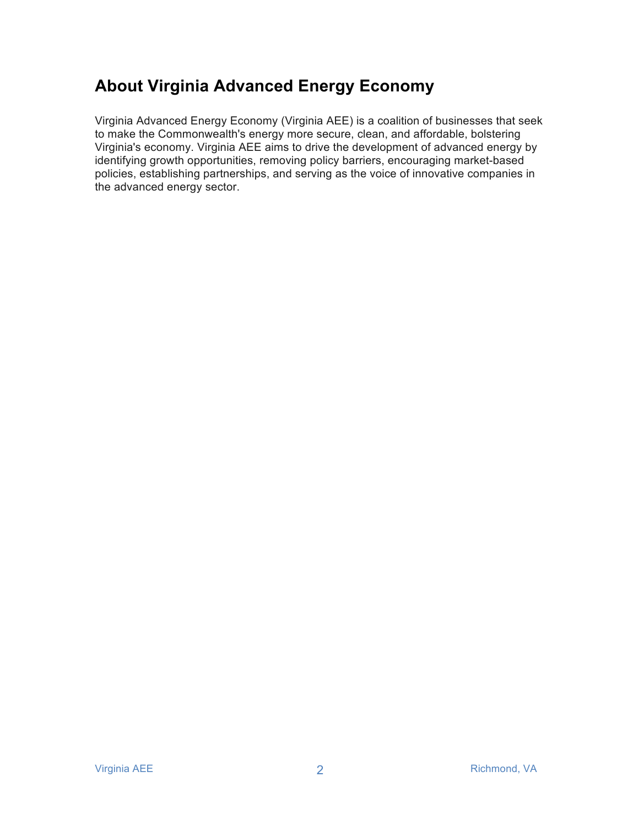# **About Virginia Advanced Energy Economy**

Virginia Advanced Energy Economy (Virginia AEE) is a coalition of businesses that seek to make the Commonwealth's energy more secure, clean, and affordable, bolstering Virginia's economy. Virginia AEE aims to drive the development of advanced energy by identifying growth opportunities, removing policy barriers, encouraging market-based policies, establishing partnerships, and serving as the voice of innovative companies in the advanced energy sector.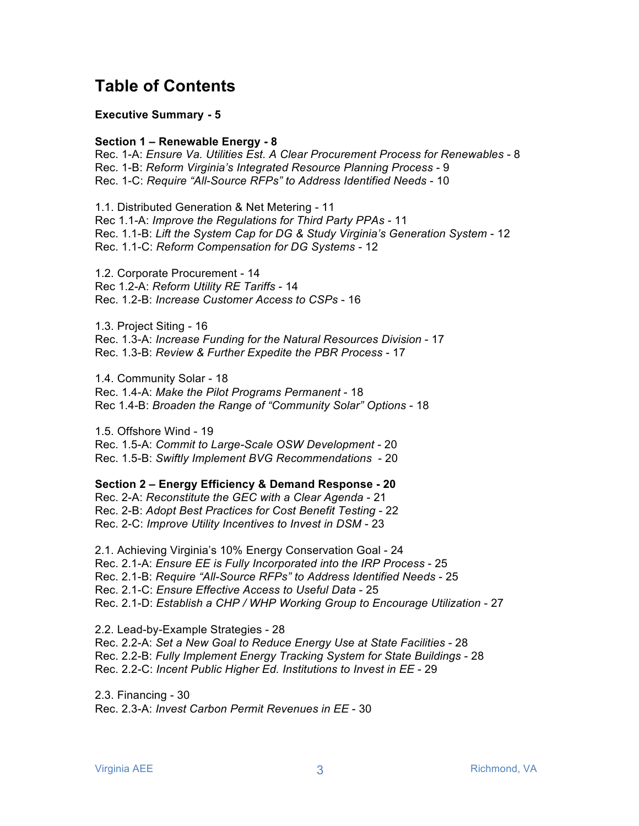# **Table of Contents**

#### **Executive Summary - 5**

#### **Section 1 – Renewable Energy - 8**

Rec. 1-A: *Ensure Va. Utilities Est. A Clear Procurement Process for Renewables* - 8 Rec. 1-B: *Reform Virginia's Integrated Resource Planning Process* - 9 Rec. 1-C: *Require "All-Source RFPs" to Address Identified Needs* - 10

1.1. Distributed Generation & Net Metering - 11 Rec 1.1-A: *Improve the Regulations for Third Party PPAs* - 11 Rec. 1.1-B: *Lift the System Cap for DG & Study Virginia's Generation System* - 12 Rec. 1.1-C: *Reform Compensation for DG Systems* - 12

1.2. Corporate Procurement - 14 Rec 1.2-A: *Reform Utility RE Tariffs* - 14 Rec. 1.2-B: *Increase Customer Access to CSPs* - 16

1.3. Project Siting - 16 Rec. 1.3-A: *Increase Funding for the Natural Resources Division* - 17 Rec. 1.3-B: *Review & Further Expedite the PBR Process* - 17

1.4. Community Solar - 18 Rec. 1.4-A: *Make the Pilot Programs Permanent* - 18 Rec 1.4-B: *Broaden the Range of "Community Solar" Options* - 18

1.5. Offshore Wind - 19 Rec. 1.5-A: *Commit to Large-Scale OSW Development* - 20 Rec. 1.5-B: *Swiftly Implement BVG Recommendations* - 20

**Section 2 – Energy Efficiency & Demand Response - 20**

Rec. 2-A: *Reconstitute the GEC with a Clear Agenda* - 21 Rec. 2-B: *Adopt Best Practices for Cost Benefit Testing* - 22 Rec. 2-C: *Improve Utility Incentives to Invest in DSM* - 23

2.1. Achieving Virginia's 10% Energy Conservation Goal - 24 Rec. 2.1-A: *Ensure EE is Fully Incorporated into the IRP Process* - 25 Rec. 2.1-B: *Require "All-Source RFPs" to Address Identified Needs* - 25 Rec. 2.1-C: *Ensure Effective Access to Useful Data* - 25 Rec. 2.1-D: *Establish a CHP / WHP Working Group to Encourage Utilization - 27* 

2.2. Lead-by-Example Strategies - 28 Rec. 2.2-A: *Set a New Goal to Reduce Energy Use at State Facilities* - 28 Rec. 2.2-B: *Fully Implement Energy Tracking System for State Buildings* - 28 Rec. 2.2-C: *Incent Public Higher Ed. Institutions to Invest in EE* - 29

2.3. Financing - 30 Rec. 2.3-A: *Invest Carbon Permit Revenues in EE* - 30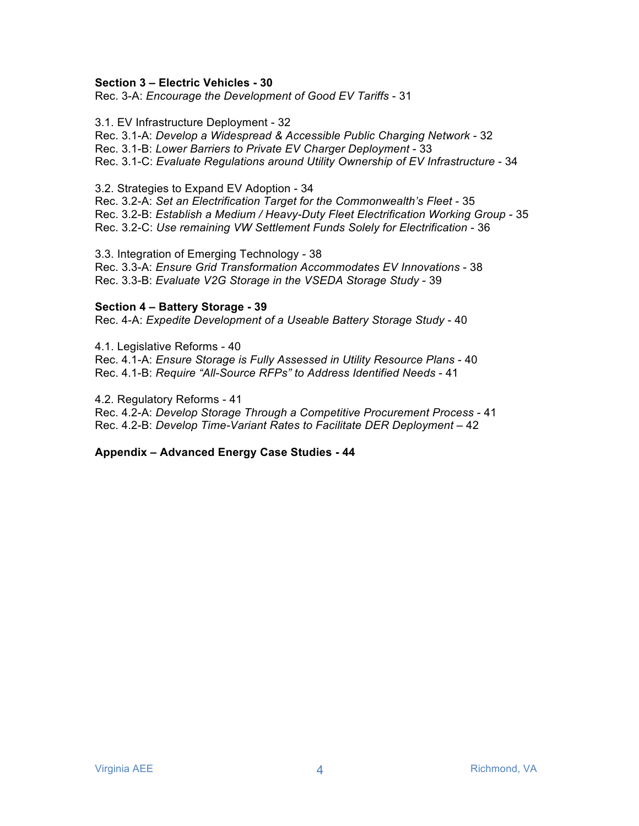#### **Section 3 – Electric Vehicles - 30**

Rec. 3-A: *Encourage the Development of Good EV Tariffs* - 31

3.1. EV Infrastructure Deployment - 32 Rec. 3.1-A: *Develop a Widespread & Accessible Public Charging Network* - 32 Rec. 3.1-B: *Lower Barriers to Private EV Charger Deployment* - 33 Rec. 3.1-C: *Evaluate Regulations around Utility Ownership of EV Infrastructure* - 34

3.2. Strategies to Expand EV Adoption - 34

Rec. 3.2-A: *Set an Electrification Target for the Commonwealth's Fleet* - 35 Rec. 3.2-B: *Establish a Medium / Heavy-Duty Fleet Electrification Working Group* - 35 Rec. 3.2-C: *Use remaining VW Settlement Funds Solely for Electrification* - 36

3.3. Integration of Emerging Technology - 38 Rec. 3.3-A: *Ensure Grid Transformation Accommodates EV Innovations* - 38 Rec. 3.3-B: *Evaluate V2G Storage in the VSEDA Storage Study* - 39

#### **Section 4 – Battery Storage - 39**

Rec. 4-A: *Expedite Development of a Useable Battery Storage Study* - 40

4.1. Legislative Reforms - 40 Rec. 4.1-A: *Ensure Storage is Fully Assessed in Utility Resource Plans* - 40 Rec. 4.1-B: *Require "All-Source RFPs" to Address Identified Needs* - 41

4.2. Regulatory Reforms - 41 Rec. 4.2-A: *Develop Storage Through a Competitive Procurement Process* - 41 Rec. 4.2-B: *Develop Time-Variant Rates to Facilitate DER Deployment* – 42

**Appendix – Advanced Energy Case Studies - 44**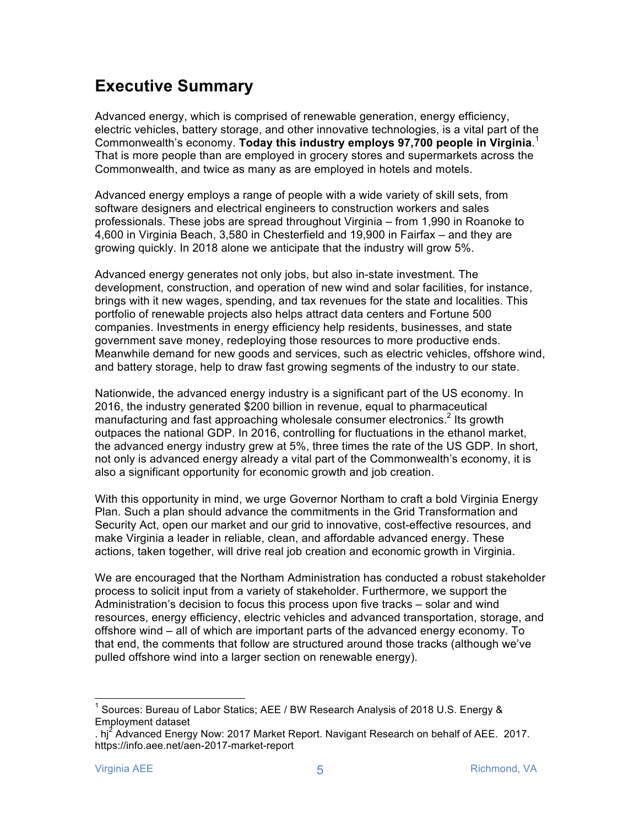# **Executive Summary**

Advanced energy, which is comprised of renewable generation, energy efficiency, electric vehicles, battery storage, and other innovative technologies, is a vital part of the Commonwealth's economy. **Today this industry employs 97,700 people in Virginia**. 1 That is more people than are employed in grocery stores and supermarkets across the Commonwealth, and twice as many as are employed in hotels and motels.

Advanced energy employs a range of people with a wide variety of skill sets, from software designers and electrical engineers to construction workers and sales professionals. These jobs are spread throughout Virginia – from 1,990 in Roanoke to 4,600 in Virginia Beach, 3,580 in Chesterfield and 19,900 in Fairfax – and they are growing quickly. In 2018 alone we anticipate that the industry will grow 5%.

Advanced energy generates not only jobs, but also in-state investment. The development, construction, and operation of new wind and solar facilities, for instance, brings with it new wages, spending, and tax revenues for the state and localities. This portfolio of renewable projects also helps attract data centers and Fortune 500 companies. Investments in energy efficiency help residents, businesses, and state government save money, redeploying those resources to more productive ends. Meanwhile demand for new goods and services, such as electric vehicles, offshore wind, and battery storage, help to draw fast growing segments of the industry to our state.

Nationwide, the advanced energy industry is a significant part of the US economy. In 2016, the industry generated \$200 billion in revenue, equal to pharmaceutical manufacturing and fast approaching wholesale consumer electronics.<sup>2</sup> Its growth outpaces the national GDP. In 2016, controlling for fluctuations in the ethanol market, the advanced energy industry grew at 5%, three times the rate of the US GDP. In short, not only is advanced energy already a vital part of the Commonwealth's economy, it is also a significant opportunity for economic growth and job creation.

With this opportunity in mind, we urge Governor Northam to craft a bold Virginia Energy Plan. Such a plan should advance the commitments in the Grid Transformation and Security Act, open our market and our grid to innovative, cost-effective resources, and make Virginia a leader in reliable, clean, and affordable advanced energy. These actions, taken together, will drive real job creation and economic growth in Virginia.

We are encouraged that the Northam Administration has conducted a robust stakeholder process to solicit input from a variety of stakeholder. Furthermore, we support the Administration's decision to focus this process upon five tracks – solar and wind resources, energy efficiency, electric vehicles and advanced transportation, storage, and offshore wind – all of which are important parts of the advanced energy economy. To that end, the comments that follow are structured around those tracks (although we've pulled offshore wind into a larger section on renewable energy).

Sources: Bureau of Labor Statics; AEE / BW Research Analysis of 2018 U.S. Energy & Employment dataset

<sup>.</sup> hj<sup>2</sup> Advanced Energy Now: 2017 Market Report. Navigant Research on behalf of AEE. 2017. https://info.aee.net/aen-2017-market-report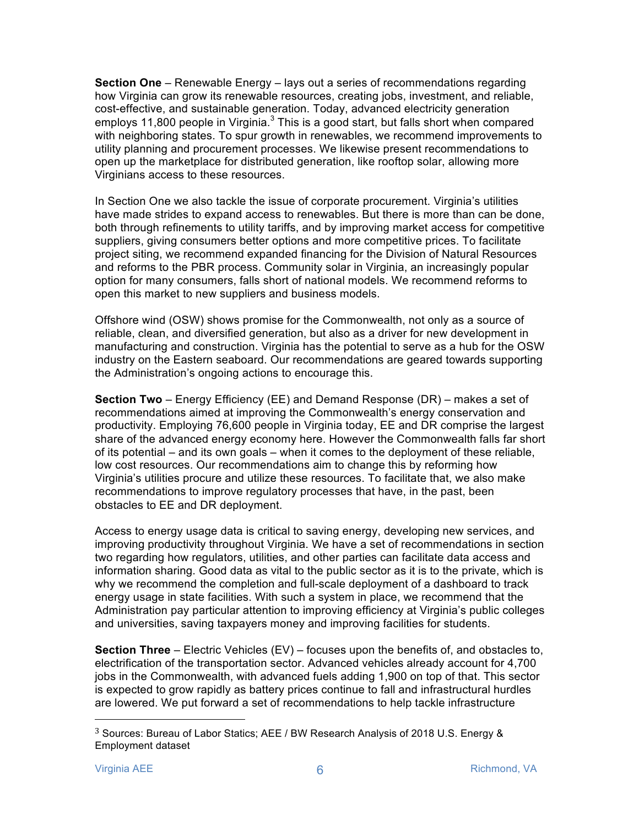**Section One** – Renewable Energy – lays out a series of recommendations regarding how Virginia can grow its renewable resources, creating jobs, investment, and reliable, cost-effective, and sustainable generation. Today, advanced electricity generation employs 11,800 people in Virginia. $3$  This is a good start, but falls short when compared with neighboring states. To spur growth in renewables, we recommend improvements to utility planning and procurement processes. We likewise present recommendations to open up the marketplace for distributed generation, like rooftop solar, allowing more Virginians access to these resources.

In Section One we also tackle the issue of corporate procurement. Virginia's utilities have made strides to expand access to renewables. But there is more than can be done, both through refinements to utility tariffs, and by improving market access for competitive suppliers, giving consumers better options and more competitive prices. To facilitate project siting, we recommend expanded financing for the Division of Natural Resources and reforms to the PBR process. Community solar in Virginia, an increasingly popular option for many consumers, falls short of national models. We recommend reforms to open this market to new suppliers and business models.

Offshore wind (OSW) shows promise for the Commonwealth, not only as a source of reliable, clean, and diversified generation, but also as a driver for new development in manufacturing and construction. Virginia has the potential to serve as a hub for the OSW industry on the Eastern seaboard. Our recommendations are geared towards supporting the Administration's ongoing actions to encourage this.

**Section Two** – Energy Efficiency (EE) and Demand Response (DR) – makes a set of recommendations aimed at improving the Commonwealth's energy conservation and productivity. Employing 76,600 people in Virginia today, EE and DR comprise the largest share of the advanced energy economy here. However the Commonwealth falls far short of its potential – and its own goals – when it comes to the deployment of these reliable, low cost resources. Our recommendations aim to change this by reforming how Virginia's utilities procure and utilize these resources. To facilitate that, we also make recommendations to improve regulatory processes that have, in the past, been obstacles to EE and DR deployment.

Access to energy usage data is critical to saving energy, developing new services, and improving productivity throughout Virginia. We have a set of recommendations in section two regarding how regulators, utilities, and other parties can facilitate data access and information sharing. Good data as vital to the public sector as it is to the private, which is why we recommend the completion and full-scale deployment of a dashboard to track energy usage in state facilities. With such a system in place, we recommend that the Administration pay particular attention to improving efficiency at Virginia's public colleges and universities, saving taxpayers money and improving facilities for students.

**Section Three** – Electric Vehicles (EV) – focuses upon the benefits of, and obstacles to, electrification of the transportation sector. Advanced vehicles already account for 4,700 jobs in the Commonwealth, with advanced fuels adding 1,900 on top of that. This sector is expected to grow rapidly as battery prices continue to fall and infrastructural hurdles are lowered. We put forward a set of recommendations to help tackle infrastructure

<sup>3</sup> Sources: Bureau of Labor Statics; AEE / BW Research Analysis of 2018 U.S. Energy & Employment dataset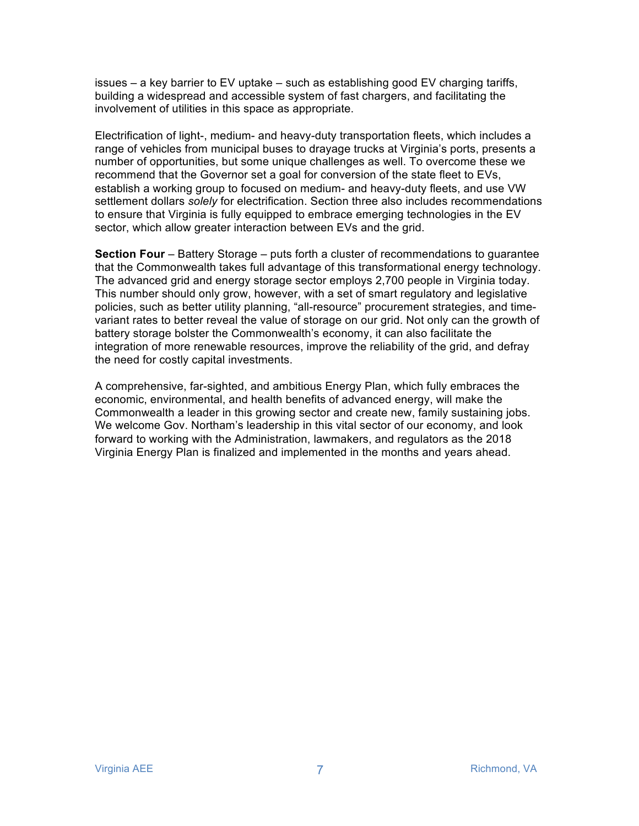issues – a key barrier to EV uptake – such as establishing good EV charging tariffs, building a widespread and accessible system of fast chargers, and facilitating the involvement of utilities in this space as appropriate.

Electrification of light-, medium- and heavy-duty transportation fleets, which includes a range of vehicles from municipal buses to drayage trucks at Virginia's ports, presents a number of opportunities, but some unique challenges as well. To overcome these we recommend that the Governor set a goal for conversion of the state fleet to EVs, establish a working group to focused on medium- and heavy-duty fleets, and use VW settlement dollars *solely* for electrification. Section three also includes recommendations to ensure that Virginia is fully equipped to embrace emerging technologies in the EV sector, which allow greater interaction between EVs and the grid.

**Section Four** – Battery Storage – puts forth a cluster of recommendations to guarantee that the Commonwealth takes full advantage of this transformational energy technology. The advanced grid and energy storage sector employs 2,700 people in Virginia today. This number should only grow, however, with a set of smart regulatory and legislative policies, such as better utility planning, "all-resource" procurement strategies, and timevariant rates to better reveal the value of storage on our grid. Not only can the growth of battery storage bolster the Commonwealth's economy, it can also facilitate the integration of more renewable resources, improve the reliability of the grid, and defray the need for costly capital investments.

A comprehensive, far-sighted, and ambitious Energy Plan, which fully embraces the economic, environmental, and health benefits of advanced energy, will make the Commonwealth a leader in this growing sector and create new, family sustaining jobs. We welcome Gov. Northam's leadership in this vital sector of our economy, and look forward to working with the Administration, lawmakers, and regulators as the 2018 Virginia Energy Plan is finalized and implemented in the months and years ahead.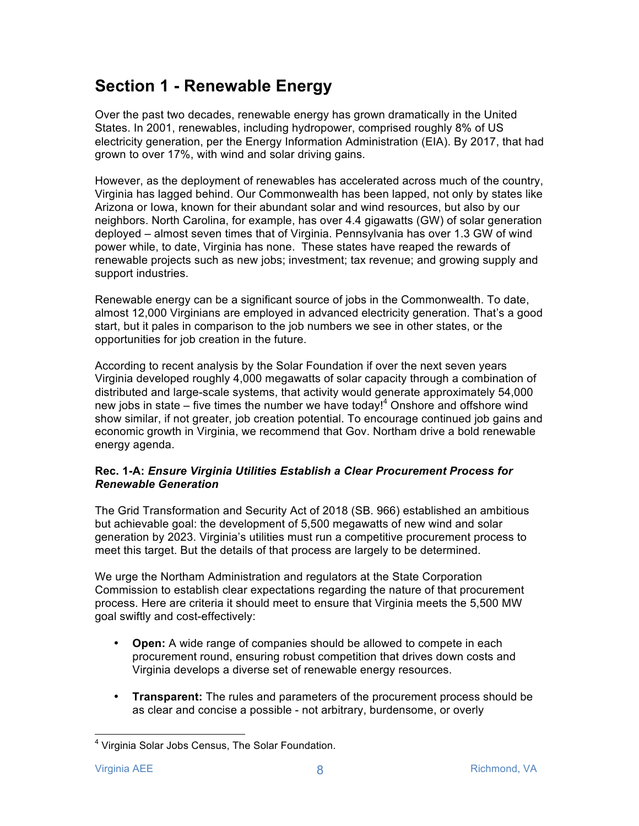# **Section 1 - Renewable Energy**

Over the past two decades, renewable energy has grown dramatically in the United States. In 2001, renewables, including hydropower, comprised roughly 8% of US electricity generation, per the Energy Information Administration (EIA). By 2017, that had grown to over 17%, with wind and solar driving gains.

However, as the deployment of renewables has accelerated across much of the country, Virginia has lagged behind. Our Commonwealth has been lapped, not only by states like Arizona or Iowa, known for their abundant solar and wind resources, but also by our neighbors. North Carolina, for example, has over 4.4 gigawatts (GW) of solar generation deployed – almost seven times that of Virginia. Pennsylvania has over 1.3 GW of wind power while, to date, Virginia has none. These states have reaped the rewards of renewable projects such as new jobs; investment; tax revenue; and growing supply and support industries.

Renewable energy can be a significant source of jobs in the Commonwealth. To date, almost 12,000 Virginians are employed in advanced electricity generation. That's a good start, but it pales in comparison to the job numbers we see in other states, or the opportunities for job creation in the future.

According to recent analysis by the Solar Foundation if over the next seven years Virginia developed roughly 4,000 megawatts of solar capacity through a combination of distributed and large-scale systems, that activity would generate approximately 54,000 new jobs in state – five times the number we have today!<sup>4</sup> Onshore and offshore wind show similar, if not greater, job creation potential. To encourage continued job gains and economic growth in Virginia, we recommend that Gov. Northam drive a bold renewable energy agenda.

# **Rec. 1-A:** *Ensure Virginia Utilities Establish a Clear Procurement Process for Renewable Generation*

The Grid Transformation and Security Act of 2018 (SB. 966) established an ambitious but achievable goal: the development of 5,500 megawatts of new wind and solar generation by 2023. Virginia's utilities must run a competitive procurement process to meet this target. But the details of that process are largely to be determined.

We urge the Northam Administration and regulators at the State Corporation Commission to establish clear expectations regarding the nature of that procurement process. Here are criteria it should meet to ensure that Virginia meets the 5,500 MW goal swiftly and cost-effectively:

- **Open:** A wide range of companies should be allowed to compete in each procurement round, ensuring robust competition that drives down costs and Virginia develops a diverse set of renewable energy resources.
- **Transparent:** The rules and parameters of the procurement process should be as clear and concise a possible - not arbitrary, burdensome, or overly

<sup>&</sup>lt;sup>4</sup> Virginia Solar Jobs Census, The Solar Foundation.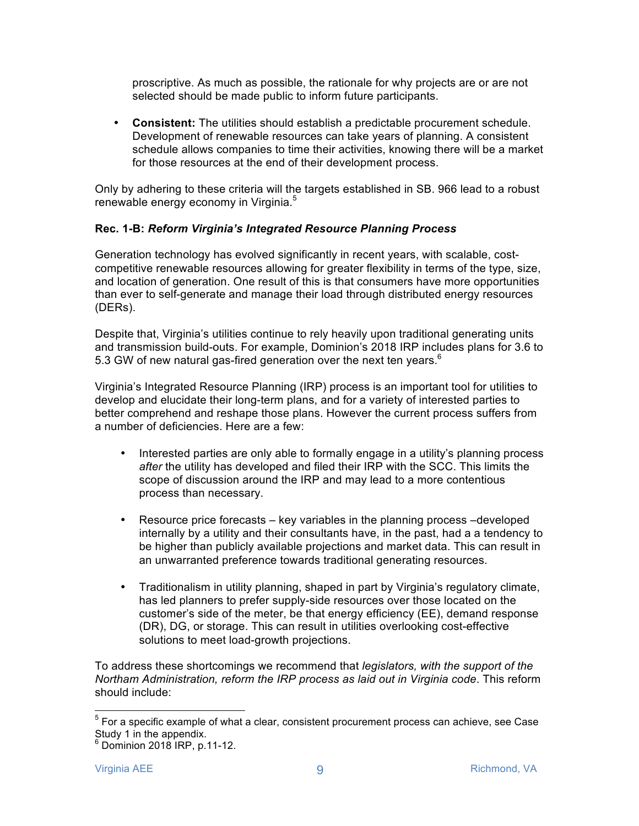proscriptive. As much as possible, the rationale for why projects are or are not selected should be made public to inform future participants.

• **Consistent:** The utilities should establish a predictable procurement schedule. Development of renewable resources can take years of planning. A consistent schedule allows companies to time their activities, knowing there will be a market for those resources at the end of their development process.

Only by adhering to these criteria will the targets established in SB. 966 lead to a robust renewable energy economy in Virginia.<sup>5</sup>

#### **Rec. 1-B:** *Reform Virginia's Integrated Resource Planning Process*

Generation technology has evolved significantly in recent years, with scalable, costcompetitive renewable resources allowing for greater flexibility in terms of the type, size, and location of generation. One result of this is that consumers have more opportunities than ever to self-generate and manage their load through distributed energy resources (DERs).

Despite that, Virginia's utilities continue to rely heavily upon traditional generating units and transmission build-outs. For example, Dominion's 2018 IRP includes plans for 3.6 to 5.3 GW of new natural gas-fired generation over the next ten vears.<sup>6</sup>

Virginia's Integrated Resource Planning (IRP) process is an important tool for utilities to develop and elucidate their long-term plans, and for a variety of interested parties to better comprehend and reshape those plans. However the current process suffers from a number of deficiencies. Here are a few:

- Interested parties are only able to formally engage in a utility's planning process *after* the utility has developed and filed their IRP with the SCC. This limits the scope of discussion around the IRP and may lead to a more contentious process than necessary.
- Resource price forecasts key variables in the planning process –developed internally by a utility and their consultants have, in the past, had a a tendency to be higher than publicly available projections and market data. This can result in an unwarranted preference towards traditional generating resources.
- Traditionalism in utility planning, shaped in part by Virginia's regulatory climate, has led planners to prefer supply-side resources over those located on the customer's side of the meter, be that energy efficiency (EE), demand response (DR), DG, or storage. This can result in utilities overlooking cost-effective solutions to meet load-growth projections.

To address these shortcomings we recommend that *legislators, with the support of the Northam Administration, reform the IRP process as laid out in Virginia code*. This reform should include:

 $<sup>5</sup>$  For a specific example of what a clear, consistent procurement process can achieve, see Case</sup> Study 1 in the appendix.

 $6$  Dominion 2018 IRP, p.11-12.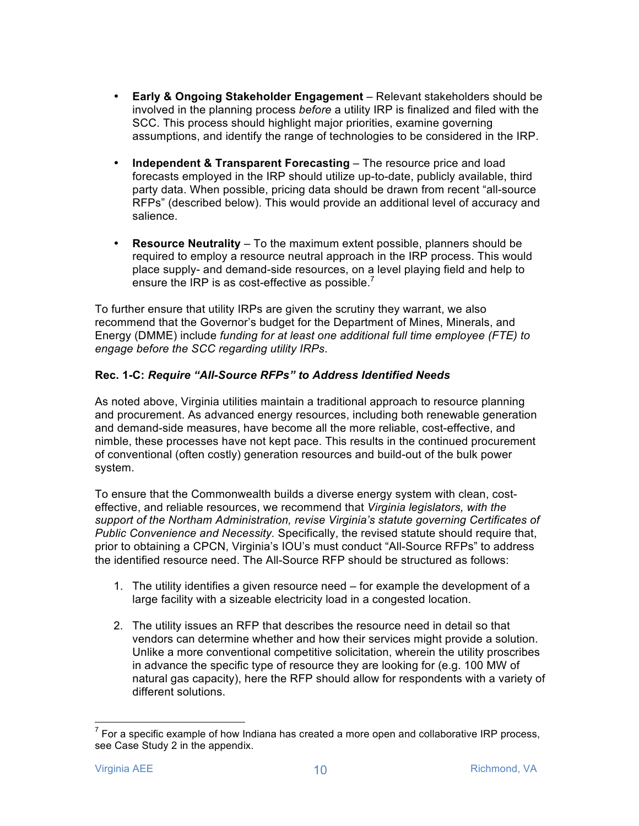- **Early & Ongoing Stakeholder Engagement** Relevant stakeholders should be involved in the planning process *before* a utility IRP is finalized and filed with the SCC. This process should highlight major priorities, examine governing assumptions, and identify the range of technologies to be considered in the IRP.
- **Independent & Transparent Forecasting**  The resource price and load forecasts employed in the IRP should utilize up-to-date, publicly available, third party data. When possible, pricing data should be drawn from recent "all-source RFPs" (described below). This would provide an additional level of accuracy and salience.
- **Resource Neutrality**  To the maximum extent possible, planners should be required to employ a resource neutral approach in the IRP process. This would place supply- and demand-side resources, on a level playing field and help to ensure the IRP is as cost-effective as possible.<sup>7</sup>

To further ensure that utility IRPs are given the scrutiny they warrant, we also recommend that the Governor's budget for the Department of Mines, Minerals, and Energy (DMME) include *funding for at least one additional full time employee (FTE) to engage before the SCC regarding utility IRPs*.

# **Rec. 1-C:** *Require "All-Source RFPs" to Address Identified Needs*

As noted above, Virginia utilities maintain a traditional approach to resource planning and procurement. As advanced energy resources, including both renewable generation and demand-side measures, have become all the more reliable, cost-effective, and nimble, these processes have not kept pace. This results in the continued procurement of conventional (often costly) generation resources and build-out of the bulk power system.

To ensure that the Commonwealth builds a diverse energy system with clean, costeffective, and reliable resources, we recommend that *Virginia legislators, with the support of the Northam Administration, revise Virginia's statute governing Certificates of Public Convenience and Necessity.* Specifically, the revised statute should require that, prior to obtaining a CPCN, Virginia's IOU's must conduct "All-Source RFPs" to address the identified resource need. The All-Source RFP should be structured as follows:

- 1. The utility identifies a given resource need for example the development of a large facility with a sizeable electricity load in a congested location.
- 2. The utility issues an RFP that describes the resource need in detail so that vendors can determine whether and how their services might provide a solution. Unlike a more conventional competitive solicitation, wherein the utility proscribes in advance the specific type of resource they are looking for (e.g. 100 MW of natural gas capacity), here the RFP should allow for respondents with a variety of different solutions.

 $7$  For a specific example of how Indiana has created a more open and collaborative IRP process, see Case Study 2 in the appendix.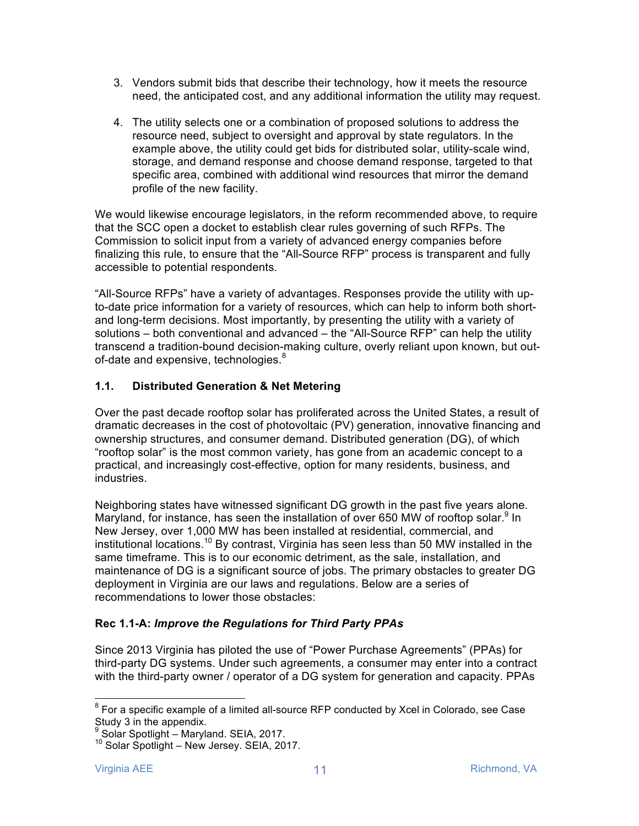- 3. Vendors submit bids that describe their technology, how it meets the resource need, the anticipated cost, and any additional information the utility may request.
- 4. The utility selects one or a combination of proposed solutions to address the resource need, subject to oversight and approval by state regulators. In the example above, the utility could get bids for distributed solar, utility-scale wind, storage, and demand response and choose demand response, targeted to that specific area, combined with additional wind resources that mirror the demand profile of the new facility.

We would likewise encourage legislators, in the reform recommended above, to require that the SCC open a docket to establish clear rules governing of such RFPs. The Commission to solicit input from a variety of advanced energy companies before finalizing this rule, to ensure that the "All-Source RFP" process is transparent and fully accessible to potential respondents.

"All-Source RFPs" have a variety of advantages. Responses provide the utility with upto-date price information for a variety of resources, which can help to inform both shortand long-term decisions. Most importantly, by presenting the utility with a variety of solutions – both conventional and advanced – the "All-Source RFP" can help the utility transcend a tradition-bound decision-making culture, overly reliant upon known, but outof-date and expensive, technologies. $8$ 

# **1.1. Distributed Generation & Net Metering**

Over the past decade rooftop solar has proliferated across the United States, a result of dramatic decreases in the cost of photovoltaic (PV) generation, innovative financing and ownership structures, and consumer demand. Distributed generation (DG), of which "rooftop solar" is the most common variety, has gone from an academic concept to a practical, and increasingly cost-effective, option for many residents, business, and industries.

Neighboring states have witnessed significant DG growth in the past five years alone. Maryland, for instance, has seen the installation of over 650 MW of rooftop solar.<sup>9</sup> In New Jersey, over 1,000 MW has been installed at residential, commercial, and institutional locations.<sup>10</sup> By contrast, Virginia has seen less than 50 MW installed in the same timeframe. This is to our economic detriment, as the sale, installation, and maintenance of DG is a significant source of jobs. The primary obstacles to greater DG deployment in Virginia are our laws and regulations. Below are a series of recommendations to lower those obstacles:

#### **Rec 1.1-A:** *Improve the Regulations for Third Party PPAs*

Since 2013 Virginia has piloted the use of "Power Purchase Agreements" (PPAs) for third-party DG systems. Under such agreements, a consumer may enter into a contract with the third-party owner / operator of a DG system for generation and capacity. PPAs

 $8$  For a specific example of a limited all-source RFP conducted by Xcel in Colorado, see Case Study 3 in the appendix.

<sup>&</sup>lt;sup>9</sup> Solar Spotlight – Maryland. SEIA, 2017.<br><sup>10</sup> Solar Spotlight – New Jersey. SEIA, 2017.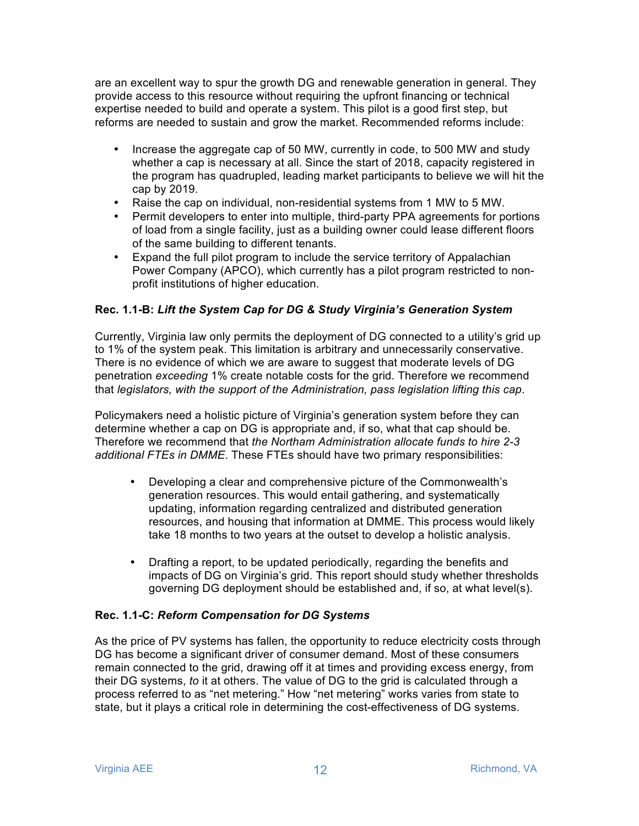are an excellent way to spur the growth DG and renewable generation in general. They provide access to this resource without requiring the upfront financing or technical expertise needed to build and operate a system. This pilot is a good first step, but reforms are needed to sustain and grow the market. Recommended reforms include:

- Increase the aggregate cap of 50 MW, currently in code, to 500 MW and study whether a cap is necessary at all. Since the start of 2018, capacity registered in the program has quadrupled, leading market participants to believe we will hit the cap by 2019.
- Raise the cap on individual, non-residential systems from 1 MW to 5 MW.
- Permit developers to enter into multiple, third-party PPA agreements for portions of load from a single facility, just as a building owner could lease different floors of the same building to different tenants.
- Expand the full pilot program to include the service territory of Appalachian Power Company (APCO), which currently has a pilot program restricted to nonprofit institutions of higher education.

# **Rec. 1.1-B:** *Lift the System Cap for DG & Study Virginia's Generation System*

Currently, Virginia law only permits the deployment of DG connected to a utility's grid up to 1% of the system peak. This limitation is arbitrary and unnecessarily conservative. There is no evidence of which we are aware to suggest that moderate levels of DG penetration *exceeding* 1% create notable costs for the grid. Therefore we recommend that *legislators, with the support of the Administration, pass legislation lifting this cap*.

Policymakers need a holistic picture of Virginia's generation system before they can determine whether a cap on DG is appropriate and, if so, what that cap should be. Therefore we recommend that *the Northam Administration allocate funds to hire 2-3 additional FTEs in DMME*. These FTEs should have two primary responsibilities:

- Developing a clear and comprehensive picture of the Commonwealth's generation resources. This would entail gathering, and systematically updating, information regarding centralized and distributed generation resources, and housing that information at DMME. This process would likely take 18 months to two years at the outset to develop a holistic analysis.
- Drafting a report, to be updated periodically, regarding the benefits and impacts of DG on Virginia's grid. This report should study whether thresholds governing DG deployment should be established and, if so, at what level(s).

# **Rec. 1.1-C:** *Reform Compensation for DG Systems*

As the price of PV systems has fallen, the opportunity to reduce electricity costs through DG has become a significant driver of consumer demand. Most of these consumers remain connected to the grid, drawing off it at times and providing excess energy, from their DG systems, *to* it at others. The value of DG to the grid is calculated through a process referred to as "net metering." How "net metering" works varies from state to state, but it plays a critical role in determining the cost-effectiveness of DG systems.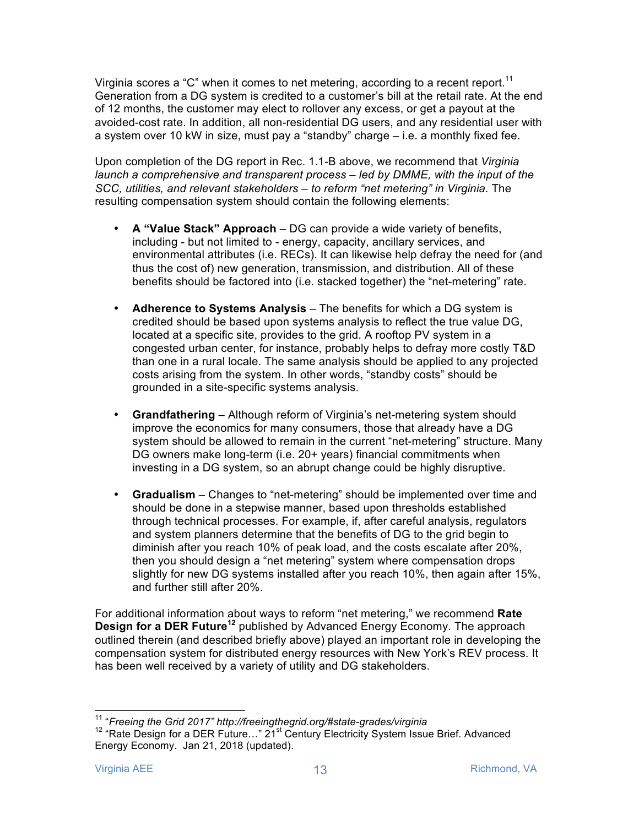Virginia scores a "C" when it comes to net metering, according to a recent report.<sup>11</sup> Generation from a DG system is credited to a customer's bill at the retail rate. At the end of 12 months, the customer may elect to rollover any excess, or get a payout at the avoided-cost rate. In addition, all non-residential DG users, and any residential user with a system over 10 kW in size, must pay a "standby" charge – i.e. a monthly fixed fee.

Upon completion of the DG report in Rec. 1.1-B above, we recommend that *Virginia launch a comprehensive and transparent process – led by DMME, with the input of the SCC, utilities, and relevant stakeholders – to reform "net metering" in Virginia.* The resulting compensation system should contain the following elements:

- **A "Value Stack" Approach**  DG can provide a wide variety of benefits, including - but not limited to - energy, capacity, ancillary services, and environmental attributes (i.e. RECs). It can likewise help defray the need for (and thus the cost of) new generation, transmission, and distribution. All of these benefits should be factored into (i.e. stacked together) the "net-metering" rate.
- **Adherence to Systems Analysis**  The benefits for which a DG system is credited should be based upon systems analysis to reflect the true value DG, located at a specific site, provides to the grid. A rooftop PV system in a congested urban center, for instance, probably helps to defray more costly T&D than one in a rural locale. The same analysis should be applied to any projected costs arising from the system. In other words, "standby costs" should be grounded in a site-specific systems analysis.
- **Grandfathering**  Although reform of Virginia's net-metering system should improve the economics for many consumers, those that already have a DG system should be allowed to remain in the current "net-metering" structure. Many DG owners make long-term (i.e. 20+ years) financial commitments when investing in a DG system, so an abrupt change could be highly disruptive.
- **Gradualism**  Changes to "net-metering" should be implemented over time and should be done in a stepwise manner, based upon thresholds established through technical processes. For example, if, after careful analysis, regulators and system planners determine that the benefits of DG to the grid begin to diminish after you reach 10% of peak load, and the costs escalate after 20%, then you should design a "net metering" system where compensation drops slightly for new DG systems installed after you reach 10%, then again after 15%, and further still after 20%.

For additional information about ways to reform "net metering," we recommend **Rate Design for a DER Future<sup>12</sup>** published by Advanced Energy Economy. The approach outlined therein (and described briefly above) played an important role in developing the compensation system for distributed energy resources with New York's REV process. It has been well received by a variety of utility and DG stakeholders.

<sup>&</sup>lt;sup>11</sup> "*Freeing the Grid 2017" http://freeingthegrid.org/#state-grades/virginia*<br><sup>12</sup> "Rate Design for a DER Future…" 21<sup>st</sup> Century Electricity System Issue Brief. Advanced Energy Economy. Jan 21, 2018 (updated).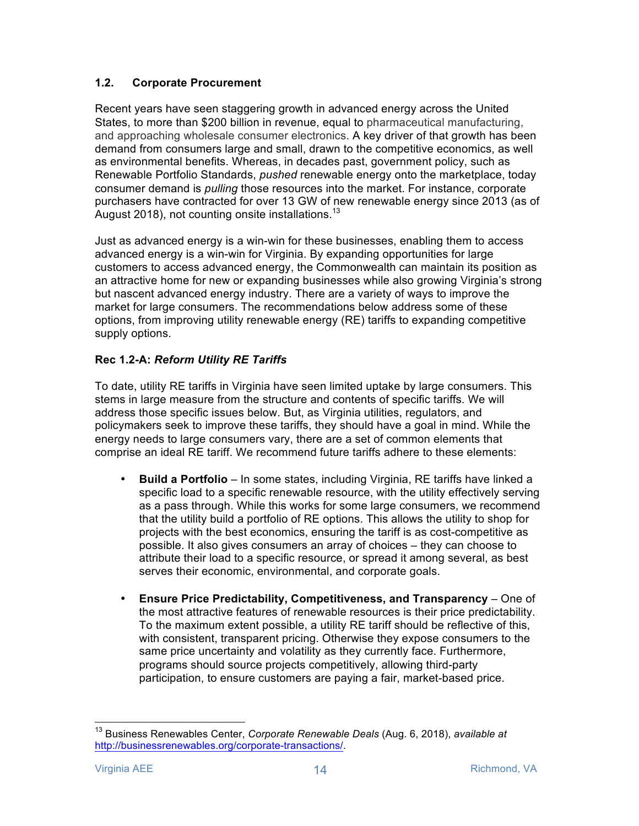# **1.2. Corporate Procurement**

Recent years have seen staggering growth in advanced energy across the United States, to more than \$200 billion in revenue, equal to pharmaceutical manufacturing, and approaching wholesale consumer electronics. A key driver of that growth has been demand from consumers large and small, drawn to the competitive economics, as well as environmental benefits. Whereas, in decades past, government policy, such as Renewable Portfolio Standards, *pushed* renewable energy onto the marketplace, today consumer demand is *pulling* those resources into the market. For instance, corporate purchasers have contracted for over 13 GW of new renewable energy since 2013 (as of August 2018), not counting onsite installations.<sup>13</sup>

Just as advanced energy is a win-win for these businesses, enabling them to access advanced energy is a win-win for Virginia. By expanding opportunities for large customers to access advanced energy, the Commonwealth can maintain its position as an attractive home for new or expanding businesses while also growing Virginia's strong but nascent advanced energy industry. There are a variety of ways to improve the market for large consumers. The recommendations below address some of these options, from improving utility renewable energy (RE) tariffs to expanding competitive supply options.

# **Rec 1.2-A:** *Reform Utility RE Tariffs*

To date, utility RE tariffs in Virginia have seen limited uptake by large consumers. This stems in large measure from the structure and contents of specific tariffs. We will address those specific issues below. But, as Virginia utilities, regulators, and policymakers seek to improve these tariffs, they should have a goal in mind. While the energy needs to large consumers vary, there are a set of common elements that comprise an ideal RE tariff. We recommend future tariffs adhere to these elements:

- **Build a Portfolio** In some states, including Virginia, RE tariffs have linked a specific load to a specific renewable resource, with the utility effectively serving as a pass through. While this works for some large consumers, we recommend that the utility build a portfolio of RE options. This allows the utility to shop for projects with the best economics, ensuring the tariff is as cost-competitive as possible. It also gives consumers an array of choices – they can choose to attribute their load to a specific resource, or spread it among several, as best serves their economic, environmental, and corporate goals.
- **Ensure Price Predictability, Competitiveness, and Transparency**  One of the most attractive features of renewable resources is their price predictability. To the maximum extent possible, a utility RE tariff should be reflective of this, with consistent, transparent pricing. Otherwise they expose consumers to the same price uncertainty and volatility as they currently face. Furthermore, programs should source projects competitively, allowing third-party participation, to ensure customers are paying a fair, market-based price.

 <sup>13</sup> Business Renewables Center, *Corporate Renewable Deals* (Aug. 6, 2018), *available at* http://businessrenewables.org/corporate-transactions/.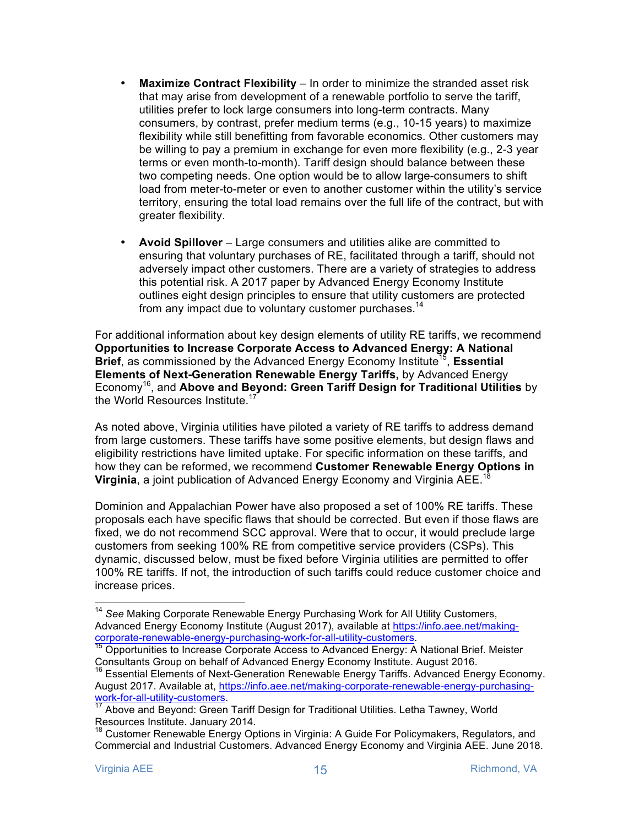- **Maximize Contract Flexibility**  In order to minimize the stranded asset risk that may arise from development of a renewable portfolio to serve the tariff, utilities prefer to lock large consumers into long-term contracts. Many consumers, by contrast, prefer medium terms (e.g., 10-15 years) to maximize flexibility while still benefitting from favorable economics. Other customers may be willing to pay a premium in exchange for even more flexibility (e.g., 2-3 year terms or even month-to-month). Tariff design should balance between these two competing needs. One option would be to allow large-consumers to shift load from meter-to-meter or even to another customer within the utility's service territory, ensuring the total load remains over the full life of the contract, but with greater flexibility.
- **Avoid Spillover**  Large consumers and utilities alike are committed to ensuring that voluntary purchases of RE, facilitated through a tariff, should not adversely impact other customers. There are a variety of strategies to address this potential risk. A 2017 paper by Advanced Energy Economy Institute outlines eight design principles to ensure that utility customers are protected from any impact due to voluntary customer purchases.<sup>14</sup>

For additional information about key design elements of utility RE tariffs, we recommend **Opportunities to Increase Corporate Access to Advanced Energy: A National Brief**, as commissioned by the Advanced Energy Economy Institute<sup>15</sup>, Essential **Elements of Next-Generation Renewable Energy Tariffs,** by Advanced Energy Economy16, and **Above and Beyond: Green Tariff Design for Traditional Utilities** by the World Resources Institute.<sup>17</sup>

As noted above, Virginia utilities have piloted a variety of RE tariffs to address demand from large customers. These tariffs have some positive elements, but design flaws and eligibility restrictions have limited uptake. For specific information on these tariffs, and how they can be reformed, we recommend **Customer Renewable Energy Options in Virginia**, a joint publication of Advanced Energy Economy and Virginia AEE.<sup>1</sup>

Dominion and Appalachian Power have also proposed a set of 100% RE tariffs. These proposals each have specific flaws that should be corrected. But even if those flaws are fixed, we do not recommend SCC approval. Were that to occur, it would preclude large customers from seeking 100% RE from competitive service providers (CSPs). This dynamic, discussed below, must be fixed before Virginia utilities are permitted to offer 100% RE tariffs. If not, the introduction of such tariffs could reduce customer choice and increase prices.

 <sup>14</sup> *See* Making Corporate Renewable Energy Purchasing Work for All Utility Customers, Advanced Energy Economy Institute (August 2017), available at https://info.aee.net/making-<br>corporate-renewable-energy-purchasing-work-for-all-utility-customers.

<sup>&</sup>lt;sup>15</sup> Opportunities to Increase Corporate Access to Advanced Energy: A National Brief. Meister Consultants Group on behalf of Advanced Energy Economy Institute. August 2016.

<sup>&</sup>lt;sup>16</sup> Essential Elements of Next-Generation Renewable Energy Tariffs. Advanced Energy Economy. August 2017. Available at, https://info.aee.net/making-corporate-renewable-energy-purchasing-<br>work-for-all-utility-customers.<br> $\frac{17.6 \text{ hours}}{17.6 \text{ hours}}$ 

Above and Beyond: Green Tariff Design for Traditional Utilities. Letha Tawney, World Resources Institute. January 2014.

<sup>&</sup>lt;sup>18</sup> Customer Renewable Energy Options in Virginia: A Guide For Policymakers, Regulators, and Commercial and Industrial Customers. Advanced Energy Economy and Virginia AEE. June 2018.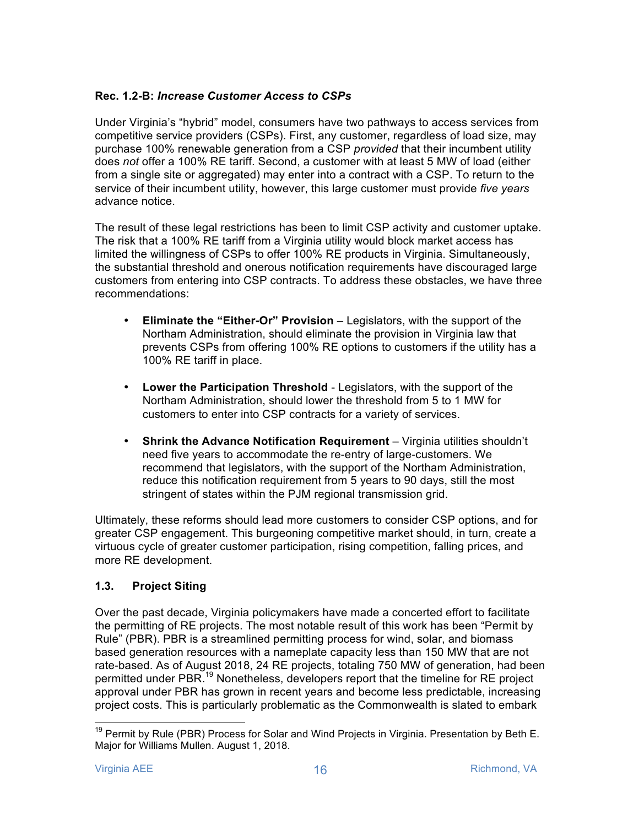# **Rec. 1.2-B:** *Increase Customer Access to CSPs*

Under Virginia's "hybrid" model, consumers have two pathways to access services from competitive service providers (CSPs). First, any customer, regardless of load size, may purchase 100% renewable generation from a CSP *provided* that their incumbent utility does *not* offer a 100% RE tariff. Second, a customer with at least 5 MW of load (either from a single site or aggregated) may enter into a contract with a CSP. To return to the service of their incumbent utility, however, this large customer must provide *five years* advance notice.

The result of these legal restrictions has been to limit CSP activity and customer uptake. The risk that a 100% RE tariff from a Virginia utility would block market access has limited the willingness of CSPs to offer 100% RE products in Virginia. Simultaneously, the substantial threshold and onerous notification requirements have discouraged large customers from entering into CSP contracts. To address these obstacles, we have three recommendations:

- **Eliminate the "Either-Or" Provision** Legislators, with the support of the Northam Administration, should eliminate the provision in Virginia law that prevents CSPs from offering 100% RE options to customers if the utility has a 100% RE tariff in place.
- **Lower the Participation Threshold**  Legislators, with the support of the Northam Administration, should lower the threshold from 5 to 1 MW for customers to enter into CSP contracts for a variety of services.
- **Shrink the Advance Notification Requirement** Virginia utilities shouldn't need five years to accommodate the re-entry of large-customers. We recommend that legislators, with the support of the Northam Administration, reduce this notification requirement from 5 years to 90 days, still the most stringent of states within the PJM regional transmission grid.

Ultimately, these reforms should lead more customers to consider CSP options, and for greater CSP engagement. This burgeoning competitive market should, in turn, create a virtuous cycle of greater customer participation, rising competition, falling prices, and more RE development.

# **1.3. Project Siting**

Over the past decade, Virginia policymakers have made a concerted effort to facilitate the permitting of RE projects. The most notable result of this work has been "Permit by Rule" (PBR). PBR is a streamlined permitting process for wind, solar, and biomass based generation resources with a nameplate capacity less than 150 MW that are not rate-based. As of August 2018, 24 RE projects, totaling 750 MW of generation, had been permitted under PBR.<sup>19</sup> Nonetheless, developers report that the timeline for RE project approval under PBR has grown in recent years and become less predictable, increasing project costs. This is particularly problematic as the Commonwealth is slated to embark

 $19$  Permit by Rule (PBR) Process for Solar and Wind Projects in Virginia. Presentation by Beth E. Major for Williams Mullen. August 1, 2018.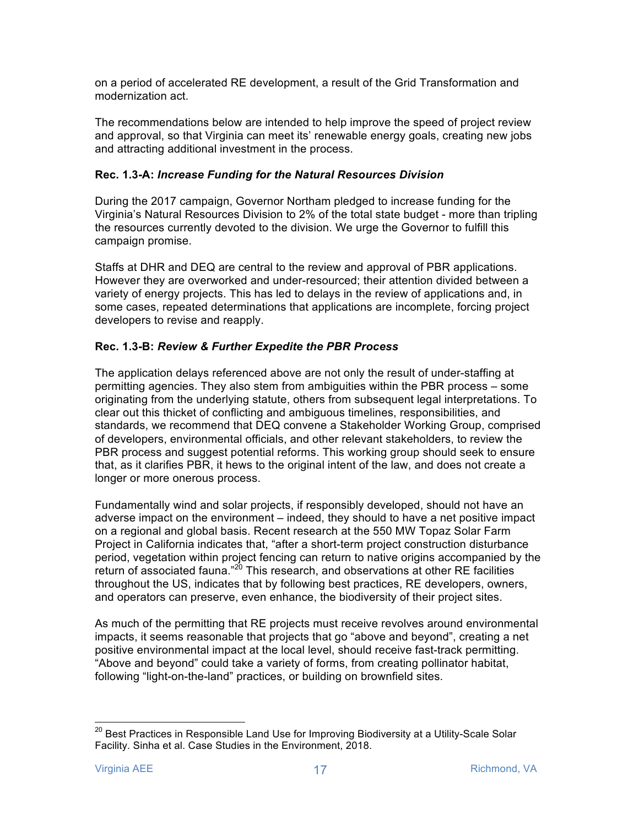on a period of accelerated RE development, a result of the Grid Transformation and modernization act.

The recommendations below are intended to help improve the speed of project review and approval, so that Virginia can meet its' renewable energy goals, creating new jobs and attracting additional investment in the process.

# **Rec. 1.3-A:** *Increase Funding for the Natural Resources Division*

During the 2017 campaign, Governor Northam pledged to increase funding for the Virginia's Natural Resources Division to 2% of the total state budget - more than tripling the resources currently devoted to the division. We urge the Governor to fulfill this campaign promise.

Staffs at DHR and DEQ are central to the review and approval of PBR applications. However they are overworked and under-resourced; their attention divided between a variety of energy projects. This has led to delays in the review of applications and, in some cases, repeated determinations that applications are incomplete, forcing project developers to revise and reapply.

# **Rec. 1.3-B:** *Review & Further Expedite the PBR Process*

The application delays referenced above are not only the result of under-staffing at permitting agencies. They also stem from ambiguities within the PBR process – some originating from the underlying statute, others from subsequent legal interpretations. To clear out this thicket of conflicting and ambiguous timelines, responsibilities, and standards, we recommend that DEQ convene a Stakeholder Working Group, comprised of developers, environmental officials, and other relevant stakeholders, to review the PBR process and suggest potential reforms. This working group should seek to ensure that, as it clarifies PBR, it hews to the original intent of the law, and does not create a longer or more onerous process.

Fundamentally wind and solar projects, if responsibly developed, should not have an adverse impact on the environment – indeed, they should to have a net positive impact on a regional and global basis. Recent research at the 550 MW Topaz Solar Farm Project in California indicates that, "after a short-term project construction disturbance period, vegetation within project fencing can return to native origins accompanied by the return of associated fauna."<sup>20</sup> This research, and observations at other RE facilities throughout the US, indicates that by following best practices, RE developers, owners, and operators can preserve, even enhance, the biodiversity of their project sites.

As much of the permitting that RE projects must receive revolves around environmental impacts, it seems reasonable that projects that go "above and beyond", creating a net positive environmental impact at the local level, should receive fast-track permitting. "Above and beyond" could take a variety of forms, from creating pollinator habitat, following "light-on-the-land" practices, or building on brownfield sites.

<sup>&</sup>lt;sup>20</sup> Best Practices in Responsible Land Use for Improving Biodiversity at a Utility-Scale Solar Facility. Sinha et al. Case Studies in the Environment, 2018.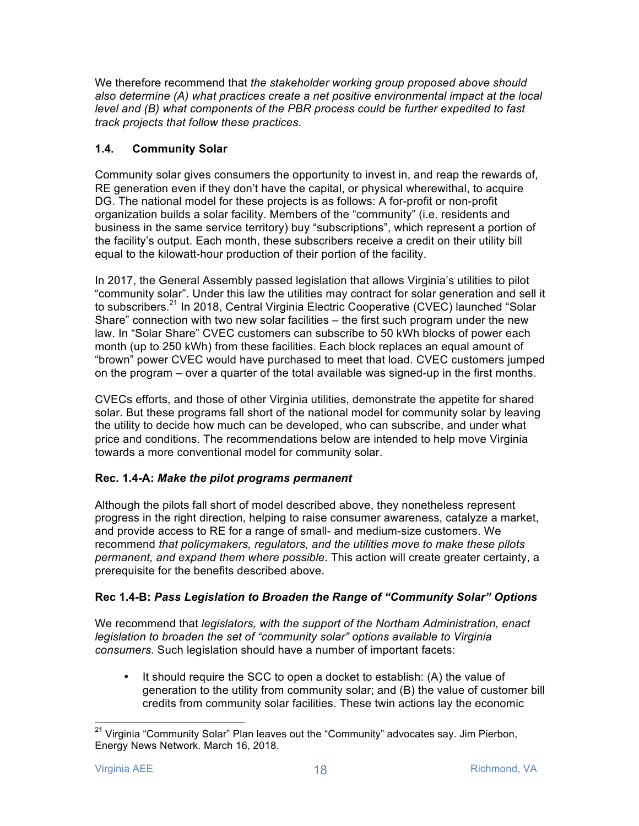We therefore recommend that *the stakeholder working group proposed above should also determine (A) what practices create a net positive environmental impact at the local level and (B) what components of the PBR process could be further expedited to fast track projects that follow these practices*.

# **1.4. Community Solar**

Community solar gives consumers the opportunity to invest in, and reap the rewards of, RE generation even if they don't have the capital, or physical wherewithal, to acquire DG. The national model for these projects is as follows: A for-profit or non-profit organization builds a solar facility. Members of the "community" (i.e. residents and business in the same service territory) buy "subscriptions", which represent a portion of the facility's output. Each month, these subscribers receive a credit on their utility bill equal to the kilowatt-hour production of their portion of the facility.

In 2017, the General Assembly passed legislation that allows Virginia's utilities to pilot "community solar". Under this law the utilities may contract for solar generation and sell it to subscribers.<sup>21</sup> In 2018, Central Virginia Electric Cooperative (CVEC) launched "Solar Share" connection with two new solar facilities – the first such program under the new law. In "Solar Share" CVEC customers can subscribe to 50 kWh blocks of power each month (up to 250 kWh) from these facilities. Each block replaces an equal amount of "brown" power CVEC would have purchased to meet that load. CVEC customers jumped on the program – over a quarter of the total available was signed-up in the first months.

CVECs efforts, and those of other Virginia utilities, demonstrate the appetite for shared solar. But these programs fall short of the national model for community solar by leaving the utility to decide how much can be developed, who can subscribe, and under what price and conditions. The recommendations below are intended to help move Virginia towards a more conventional model for community solar.

# **Rec. 1.4-A:** *Make the pilot programs permanent*

Although the pilots fall short of model described above, they nonetheless represent progress in the right direction, helping to raise consumer awareness, catalyze a market, and provide access to RE for a range of small- and medium-size customers. We recommend *that policymakers, regulators, and the utilities move to make these pilots permanent, and expand them where possible*. This action will create greater certainty, a prerequisite for the benefits described above.

# **Rec 1.4-B:** *Pass Legislation to Broaden the Range of "Community Solar" Options*

We recommend that *legislators, with the support of the Northam Administration, enact legislation to broaden the set of "community solar" options available to Virginia consumers*. Such legislation should have a number of important facets:

• It should require the SCC to open a docket to establish: (A) the value of generation to the utility from community solar; and (B) the value of customer bill credits from community solar facilities. These twin actions lay the economic

 $21$  Virginia "Community Solar" Plan leaves out the "Community" advocates say. Jim Pierbon, Energy News Network. March 16, 2018.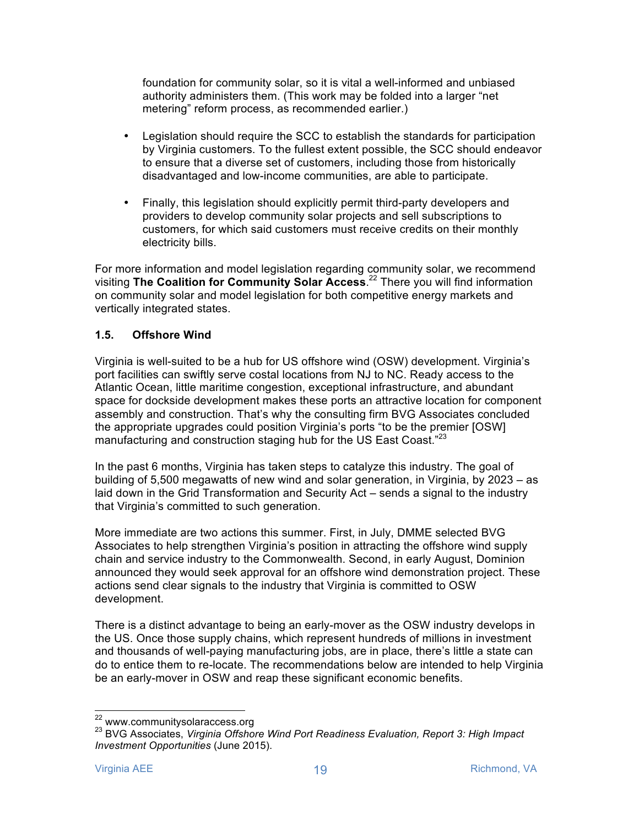foundation for community solar, so it is vital a well-informed and unbiased authority administers them. (This work may be folded into a larger "net metering" reform process, as recommended earlier.)

- Legislation should require the SCC to establish the standards for participation by Virginia customers. To the fullest extent possible, the SCC should endeavor to ensure that a diverse set of customers, including those from historically disadvantaged and low-income communities, are able to participate.
- Finally, this legislation should explicitly permit third-party developers and providers to develop community solar projects and sell subscriptions to customers, for which said customers must receive credits on their monthly electricity bills.

For more information and model legislation regarding community solar, we recommend visiting **The Coalition for Community Solar Access**. <sup>22</sup> There you will find information on community solar and model legislation for both competitive energy markets and vertically integrated states.

# **1.5. Offshore Wind**

Virginia is well-suited to be a hub for US offshore wind (OSW) development. Virginia's port facilities can swiftly serve costal locations from NJ to NC. Ready access to the Atlantic Ocean, little maritime congestion, exceptional infrastructure, and abundant space for dockside development makes these ports an attractive location for component assembly and construction. That's why the consulting firm BVG Associates concluded the appropriate upgrades could position Virginia's ports "to be the premier [OSW] manufacturing and construction staging hub for the US East Coast."<sup>23</sup>

In the past 6 months, Virginia has taken steps to catalyze this industry. The goal of building of 5,500 megawatts of new wind and solar generation, in Virginia, by 2023 – as laid down in the Grid Transformation and Security Act – sends a signal to the industry that Virginia's committed to such generation.

More immediate are two actions this summer. First, in July, DMME selected BVG Associates to help strengthen Virginia's position in attracting the offshore wind supply chain and service industry to the Commonwealth. Second, in early August, Dominion announced they would seek approval for an offshore wind demonstration project. These actions send clear signals to the industry that Virginia is committed to OSW development.

There is a distinct advantage to being an early-mover as the OSW industry develops in the US. Once those supply chains, which represent hundreds of millions in investment and thousands of well-paying manufacturing jobs, are in place, there's little a state can do to entice them to re-locate. The recommendations below are intended to help Virginia be an early-mover in OSW and reap these significant economic benefits.

<sup>&</sup>lt;sup>22</sup> www.communitysolaraccess.org<br><sup>23</sup> BVG Associates, *Virginia Offshore Wind Port Readiness Evaluation, Report 3: High Impact Investment Opportunities* (June 2015).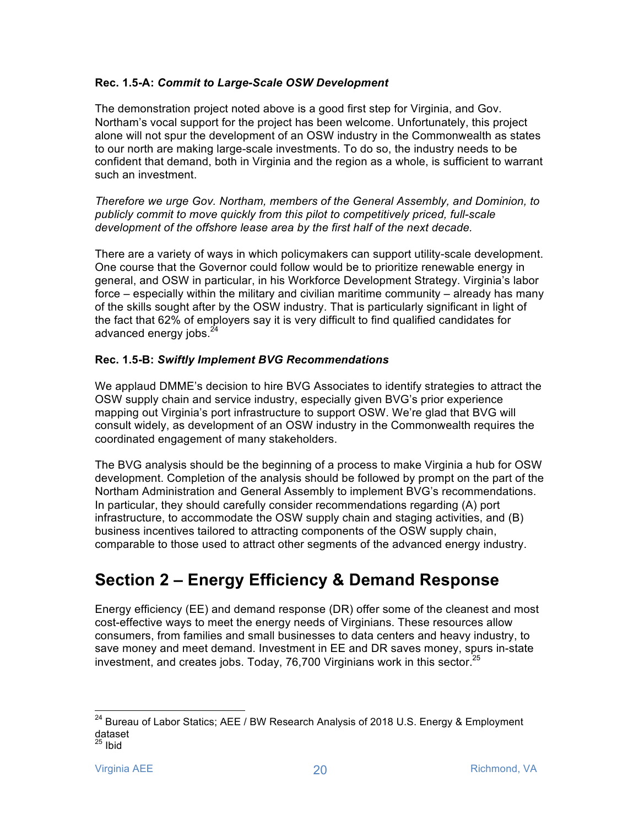#### **Rec. 1.5-A:** *Commit to Large-Scale OSW Development*

The demonstration project noted above is a good first step for Virginia, and Gov. Northam's vocal support for the project has been welcome. Unfortunately, this project alone will not spur the development of an OSW industry in the Commonwealth as states to our north are making large-scale investments. To do so, the industry needs to be confident that demand, both in Virginia and the region as a whole, is sufficient to warrant such an investment.

*Therefore we urge Gov. Northam, members of the General Assembly, and Dominion, to publicly commit to move quickly from this pilot to competitively priced, full-scale development of the offshore lease area by the first half of the next decade.* 

There are a variety of ways in which policymakers can support utility-scale development. One course that the Governor could follow would be to prioritize renewable energy in general, and OSW in particular, in his Workforce Development Strategy. Virginia's labor force – especially within the military and civilian maritime community – already has many of the skills sought after by the OSW industry. That is particularly significant in light of the fact that 62% of employers say it is very difficult to find qualified candidates for advanced energy jobs.<sup>24</sup>

# **Rec. 1.5-B:** *Swiftly Implement BVG Recommendations*

We applaud DMME's decision to hire BVG Associates to identify strategies to attract the OSW supply chain and service industry, especially given BVG's prior experience mapping out Virginia's port infrastructure to support OSW. We're glad that BVG will consult widely, as development of an OSW industry in the Commonwealth requires the coordinated engagement of many stakeholders.

The BVG analysis should be the beginning of a process to make Virginia a hub for OSW development. Completion of the analysis should be followed by prompt on the part of the Northam Administration and General Assembly to implement BVG's recommendations. In particular, they should carefully consider recommendations regarding (A) port infrastructure, to accommodate the OSW supply chain and staging activities, and (B) business incentives tailored to attracting components of the OSW supply chain, comparable to those used to attract other segments of the advanced energy industry.

# **Section 2 – Energy Efficiency & Demand Response**

Energy efficiency (EE) and demand response (DR) offer some of the cleanest and most cost-effective ways to meet the energy needs of Virginians. These resources allow consumers, from families and small businesses to data centers and heavy industry, to save money and meet demand. Investment in EE and DR saves money, spurs in-state investment, and creates jobs. Today, 76,700 Virginians work in this sector.<sup>25</sup>

 $24$  Bureau of Labor Statics; AEE / BW Research Analysis of 2018 U.S. Energy & Employment dataset  $^{25}$  Ibid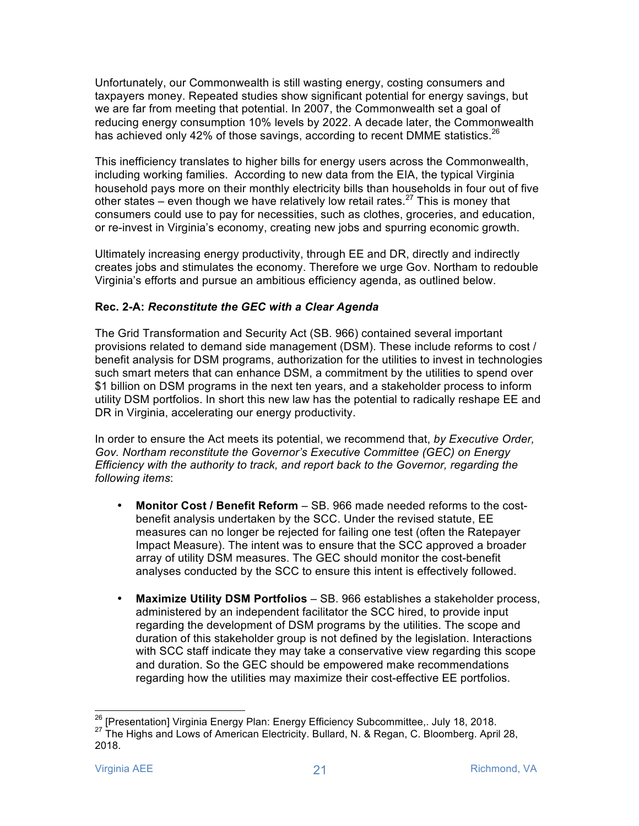Unfortunately, our Commonwealth is still wasting energy, costing consumers and taxpayers money. Repeated studies show significant potential for energy savings, but we are far from meeting that potential. In 2007, the Commonwealth set a goal of reducing energy consumption 10% levels by 2022. A decade later, the Commonwealth has achieved only 42% of those savings, according to recent DMME statistics.<sup>26</sup>

This inefficiency translates to higher bills for energy users across the Commonwealth, including working families. According to new data from the EIA, the typical Virginia household pays more on their monthly electricity bills than households in four out of five other states – even though we have relatively low retail rates.<sup>27</sup> This is money that consumers could use to pay for necessities, such as clothes, groceries, and education, or re-invest in Virginia's economy, creating new jobs and spurring economic growth.

Ultimately increasing energy productivity, through EE and DR, directly and indirectly creates jobs and stimulates the economy. Therefore we urge Gov. Northam to redouble Virginia's efforts and pursue an ambitious efficiency agenda, as outlined below.

# **Rec. 2-A:** *Reconstitute the GEC with a Clear Agenda*

The Grid Transformation and Security Act (SB. 966) contained several important provisions related to demand side management (DSM). These include reforms to cost / benefit analysis for DSM programs, authorization for the utilities to invest in technologies such smart meters that can enhance DSM, a commitment by the utilities to spend over \$1 billion on DSM programs in the next ten years, and a stakeholder process to inform utility DSM portfolios. In short this new law has the potential to radically reshape EE and DR in Virginia, accelerating our energy productivity.

In order to ensure the Act meets its potential, we recommend that, *by Executive Order, Gov. Northam reconstitute the Governor's Executive Committee (GEC) on Energy Efficiency with the authority to track, and report back to the Governor, regarding the following items*:

- **Monitor Cost / Benefit Reform**  SB. 966 made needed reforms to the costbenefit analysis undertaken by the SCC. Under the revised statute, EE measures can no longer be rejected for failing one test (often the Ratepayer Impact Measure). The intent was to ensure that the SCC approved a broader array of utility DSM measures. The GEC should monitor the cost-benefit analyses conducted by the SCC to ensure this intent is effectively followed.
- **Maximize Utility DSM Portfolios** SB. 966 establishes a stakeholder process, administered by an independent facilitator the SCC hired, to provide input regarding the development of DSM programs by the utilities. The scope and duration of this stakeholder group is not defined by the legislation. Interactions with SCC staff indicate they may take a conservative view regarding this scope and duration. So the GEC should be empowered make recommendations regarding how the utilities may maximize their cost-effective EE portfolios.

<sup>&</sup>lt;sup>26</sup> [Presentation] Virginia Energy Plan: Energy Efficiency Subcommittee,. July 18, 2018.<br><sup>27</sup> The Highs and Lows of American Electricity. Bullard, N. & Regan, C. Bloomberg. April 28, 2018.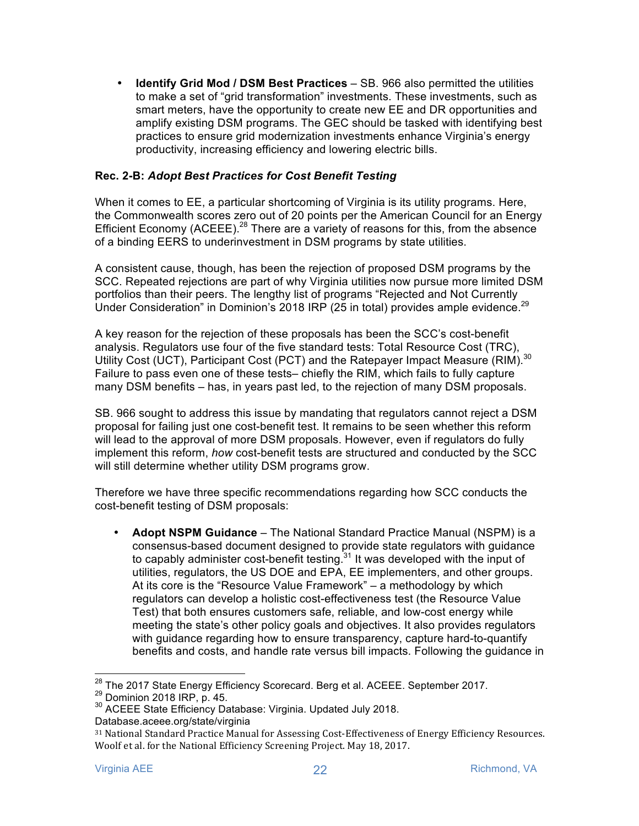• **Identify Grid Mod / DSM Best Practices** – SB. 966 also permitted the utilities to make a set of "grid transformation" investments. These investments, such as smart meters, have the opportunity to create new EE and DR opportunities and amplify existing DSM programs. The GEC should be tasked with identifying best practices to ensure grid modernization investments enhance Virginia's energy productivity, increasing efficiency and lowering electric bills.

#### **Rec. 2-B:** *Adopt Best Practices for Cost Benefit Testing*

When it comes to EE, a particular shortcoming of Virginia is its utility programs. Here, the Commonwealth scores zero out of 20 points per the American Council for an Energy Efficient Economy (ACEEE).<sup>28</sup> There are a variety of reasons for this, from the absence of a binding EERS to underinvestment in DSM programs by state utilities.

A consistent cause, though, has been the rejection of proposed DSM programs by the SCC. Repeated rejections are part of why Virginia utilities now pursue more limited DSM portfolios than their peers. The lengthy list of programs "Rejected and Not Currently Under Consideration" in Dominion's 2018 IRP (25 in total) provides ample evidence.<sup>29</sup>

A key reason for the rejection of these proposals has been the SCC's cost-benefit analysis. Regulators use four of the five standard tests: Total Resource Cost (TRC), Utility Cost (UCT), Participant Cost (PCT) and the Ratepayer Impact Measure (RIM).<sup>30</sup> Failure to pass even one of these tests– chiefly the RIM, which fails to fully capture many DSM benefits – has, in years past led, to the rejection of many DSM proposals.

SB. 966 sought to address this issue by mandating that regulators cannot reject a DSM proposal for failing just one cost-benefit test. It remains to be seen whether this reform will lead to the approval of more DSM proposals. However, even if regulators do fully implement this reform, *how* cost-benefit tests are structured and conducted by the SCC will still determine whether utility DSM programs grow.

Therefore we have three specific recommendations regarding how SCC conducts the cost-benefit testing of DSM proposals:

• **Adopt NSPM Guidance** – The National Standard Practice Manual (NSPM) is a consensus-based document designed to provide state regulators with guidance to capably administer cost-benefit testing.<sup>31</sup> It was developed with the input of utilities, regulators, the US DOE and EPA, EE implementers, and other groups. At its core is the "Resource Value Framework" – a methodology by which regulators can develop a holistic cost-effectiveness test (the Resource Value Test) that both ensures customers safe, reliable, and low-cost energy while meeting the state's other policy goals and objectives. It also provides regulators with guidance regarding how to ensure transparency, capture hard-to-quantify benefits and costs, and handle rate versus bill impacts. Following the guidance in

<sup>&</sup>lt;sup>28</sup> The 2017 State Energy Efficiency Scorecard. Berg et al. ACEEE. September 2017.<br><sup>29</sup> Dominion 2018 IRP, p. 45. 30 ACEEE State Efficiency Database: Virginia. Updated July 2018.

Database.aceee.org/state/virginia

<sup>&</sup>lt;sup>31</sup> National Standard Practice Manual for Assessing Cost-Effectiveness of Energy Efficiency Resources. Woolf et al. for the National Efficiency Screening Project. May 18, 2017.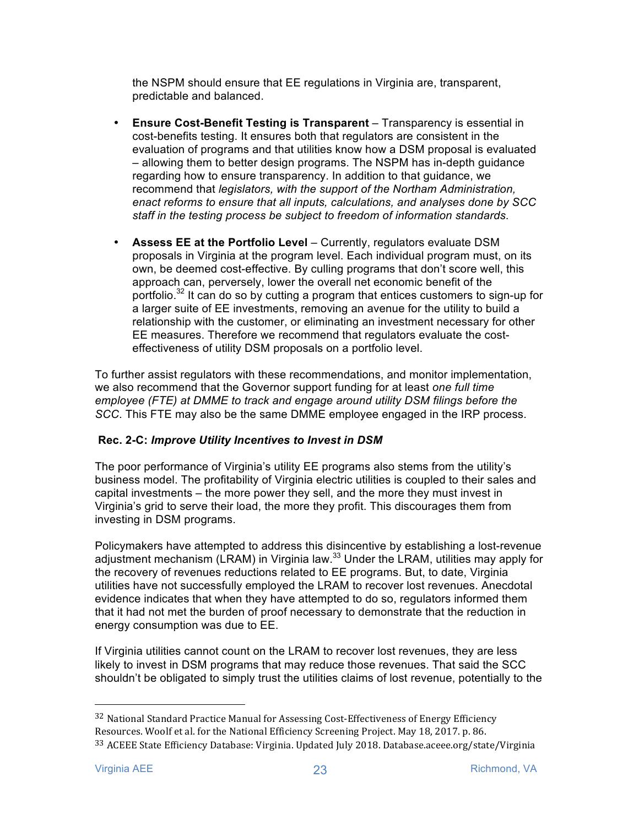the NSPM should ensure that EE regulations in Virginia are, transparent, predictable and balanced.

- **Ensure Cost-Benefit Testing is Transparent** Transparency is essential in cost-benefits testing. It ensures both that regulators are consistent in the evaluation of programs and that utilities know how a DSM proposal is evaluated – allowing them to better design programs. The NSPM has in-depth guidance regarding how to ensure transparency. In addition to that guidance, we recommend that *legislators, with the support of the Northam Administration, enact reforms to ensure that all inputs, calculations, and analyses done by SCC staff in the testing process be subject to freedom of information standards*.
- **Assess EE at the Portfolio Level** Currently, regulators evaluate DSM proposals in Virginia at the program level. Each individual program must, on its own, be deemed cost-effective. By culling programs that don't score well, this approach can, perversely, lower the overall net economic benefit of the portfolio.<sup>32</sup> It can do so by cutting a program that entices customers to sign-up for a larger suite of EE investments, removing an avenue for the utility to build a relationship with the customer, or eliminating an investment necessary for other EE measures. Therefore we recommend that regulators evaluate the costeffectiveness of utility DSM proposals on a portfolio level.

To further assist regulators with these recommendations, and monitor implementation, we also recommend that the Governor support funding for at least *one full time employee (FTE) at DMME to track and engage around utility DSM filings before the SCC*. This FTE may also be the same DMME employee engaged in the IRP process.

#### **Rec. 2-C:** *Improve Utility Incentives to Invest in DSM*

The poor performance of Virginia's utility EE programs also stems from the utility's business model. The profitability of Virginia electric utilities is coupled to their sales and capital investments – the more power they sell, and the more they must invest in Virginia's grid to serve their load, the more they profit. This discourages them from investing in DSM programs.

Policymakers have attempted to address this disincentive by establishing a lost-revenue adjustment mechanism (LRAM) in Virginia law.<sup>33</sup> Under the LRAM, utilities may apply for the recovery of revenues reductions related to EE programs. But, to date, Virginia utilities have not successfully employed the LRAM to recover lost revenues. Anecdotal evidence indicates that when they have attempted to do so, regulators informed them that it had not met the burden of proof necessary to demonstrate that the reduction in energy consumption was due to EE.

If Virginia utilities cannot count on the LRAM to recover lost revenues, they are less likely to invest in DSM programs that may reduce those revenues. That said the SCC shouldn't be obligated to simply trust the utilities claims of lost revenue, potentially to the

<sup>&</sup>lt;sup>32</sup> National Standard Practice Manual for Assessing Cost-Effectiveness of Energy Efficiency Resources. Woolf et al. for the National Efficiency Screening Project. May 18, 2017. p. 86. <sup>33</sup> ACEEE State Efficiency Database: Virginia. Updated July 2018. Database.aceee.org/state/Virginia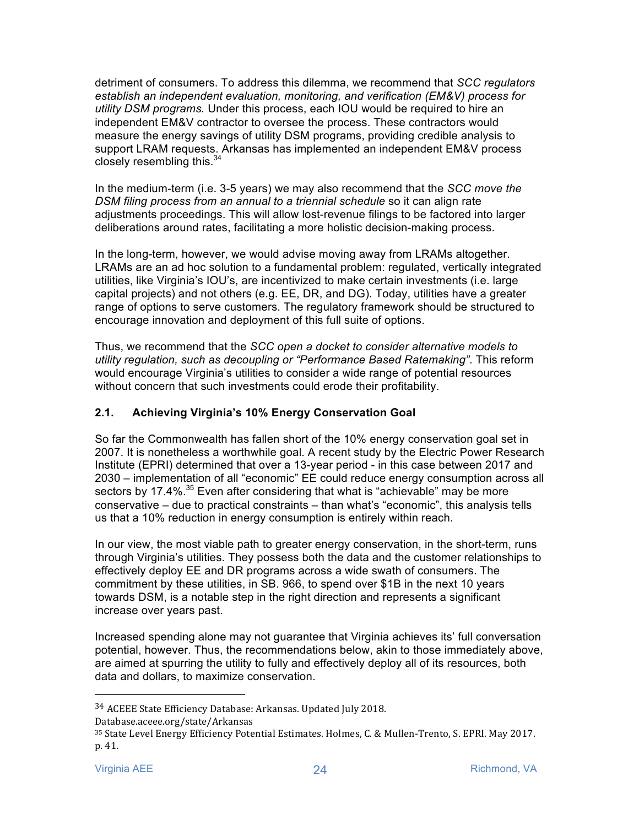detriment of consumers. To address this dilemma, we recommend that *SCC regulators establish an independent evaluation, monitoring, and verification (EM&V) process for utility DSM programs.* Under this process, each IOU would be required to hire an independent EM&V contractor to oversee the process. These contractors would measure the energy savings of utility DSM programs, providing credible analysis to support LRAM requests. Arkansas has implemented an independent EM&V process closely resembling this. $34$ 

In the medium-term (i.e. 3-5 years) we may also recommend that the *SCC move the DSM filing process from an annual to a triennial schedule* so it can align rate adjustments proceedings. This will allow lost-revenue filings to be factored into larger deliberations around rates, facilitating a more holistic decision-making process.

In the long-term, however, we would advise moving away from LRAMs altogether. LRAMs are an ad hoc solution to a fundamental problem: regulated, vertically integrated utilities, like Virginia's IOU's, are incentivized to make certain investments (i.e. large capital projects) and not others (e.g. EE, DR, and DG). Today, utilities have a greater range of options to serve customers. The regulatory framework should be structured to encourage innovation and deployment of this full suite of options.

Thus, we recommend that the *SCC open a docket to consider alternative models to utility regulation, such as decoupling or "Performance Based Ratemaking"*. This reform would encourage Virginia's utilities to consider a wide range of potential resources without concern that such investments could erode their profitability.

# **2.1. Achieving Virginia's 10% Energy Conservation Goal**

So far the Commonwealth has fallen short of the 10% energy conservation goal set in 2007. It is nonetheless a worthwhile goal. A recent study by the Electric Power Research Institute (EPRI) determined that over a 13-year period - in this case between 2017 and 2030 – implementation of all "economic" EE could reduce energy consumption across all sectors by 17.4%. $35$  Even after considering that what is "achievable" may be more conservative – due to practical constraints – than what's "economic", this analysis tells us that a 10% reduction in energy consumption is entirely within reach.

In our view, the most viable path to greater energy conservation, in the short-term, runs through Virginia's utilities. They possess both the data and the customer relationships to effectively deploy EE and DR programs across a wide swath of consumers. The commitment by these utilities, in SB. 966, to spend over \$1B in the next 10 years towards DSM, is a notable step in the right direction and represents a significant increase over years past.

Increased spending alone may not guarantee that Virginia achieves its' full conversation potential, however. Thus, the recommendations below, akin to those immediately above, are aimed at spurring the utility to fully and effectively deploy all of its resources, both data and dollars, to maximize conservation.

<sup>&</sup>lt;sup>34</sup> ACEEE State Efficiency Database: Arkansas. Updated July 2018.

Database.aceee.org/state/Arkansas

<sup>35</sup> State Level Energy Efficiency Potential Estimates. Holmes, C. & Mullen-Trento, S. EPRI. May 2017. p. 41.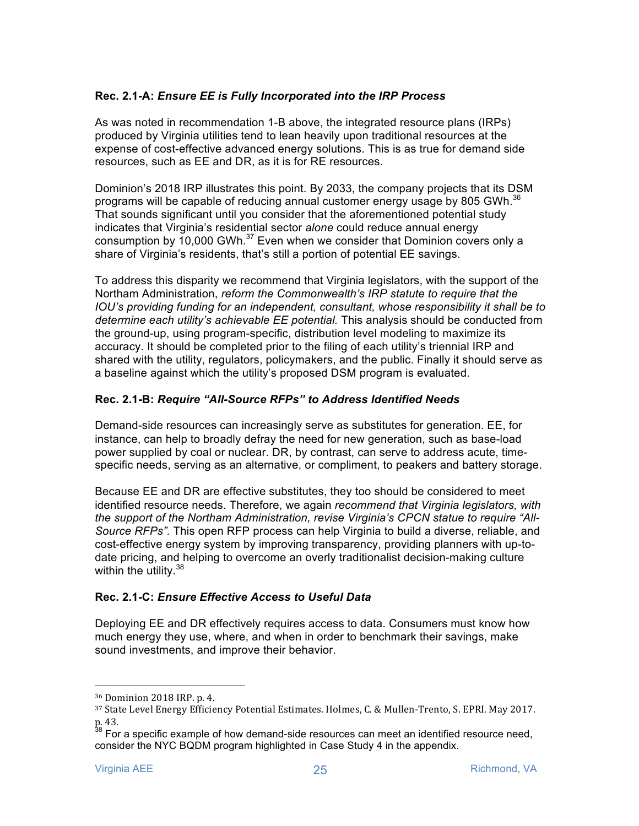# **Rec. 2.1-A:** *Ensure EE is Fully Incorporated into the IRP Process*

As was noted in recommendation 1-B above, the integrated resource plans (IRPs) produced by Virginia utilities tend to lean heavily upon traditional resources at the expense of cost-effective advanced energy solutions. This is as true for demand side resources, such as EE and DR, as it is for RE resources.

Dominion's 2018 IRP illustrates this point. By 2033, the company projects that its DSM programs will be capable of reducing annual customer energy usage by 805 GWh.<sup>36</sup> That sounds significant until you consider that the aforementioned potential study indicates that Virginia's residential sector *alone* could reduce annual energy consumption by 10,000 GWh. $37$  Even when we consider that Dominion covers only a share of Virginia's residents, that's still a portion of potential EE savings.

To address this disparity we recommend that Virginia legislators, with the support of the Northam Administration, *reform the Commonwealth's IRP statute to require that the IOU's providing funding for an independent, consultant, whose responsibility it shall be to determine each utility's achievable EE potential.* This analysis should be conducted from the ground-up, using program-specific, distribution level modeling to maximize its accuracy. It should be completed prior to the filing of each utility's triennial IRP and shared with the utility, regulators, policymakers, and the public. Finally it should serve as a baseline against which the utility's proposed DSM program is evaluated.

#### **Rec. 2.1-B:** *Require "All-Source RFPs" to Address Identified Needs*

Demand-side resources can increasingly serve as substitutes for generation. EE, for instance, can help to broadly defray the need for new generation, such as base-load power supplied by coal or nuclear. DR, by contrast, can serve to address acute, timespecific needs, serving as an alternative, or compliment, to peakers and battery storage.

Because EE and DR are effective substitutes, they too should be considered to meet identified resource needs. Therefore, we again *recommend that Virginia legislators, with the support of the Northam Administration, revise Virginia's CPCN statue to require "All-Source RFPs".* This open RFP process can help Virginia to build a diverse, reliable, and cost-effective energy system by improving transparency, providing planners with up-todate pricing, and helping to overcome an overly traditionalist decision-making culture within the utility.  $38$ 

#### **Rec. 2.1-C:** *Ensure Effective Access to Useful Data*

Deploying EE and DR effectively requires access to data. Consumers must know how much energy they use, where, and when in order to benchmark their savings, make sound investments, and improve their behavior.

<sup>&</sup>lt;sup>36</sup> Dominion 2018 IRP. p. 4.

<sup>37</sup> State Level Energy Efficiency Potential Estimates. Holmes, C. & Mullen-Trento, S. EPRI. May 2017. p. 43.

 $38$  For a specific example of how demand-side resources can meet an identified resource need, consider the NYC BQDM program highlighted in Case Study 4 in the appendix.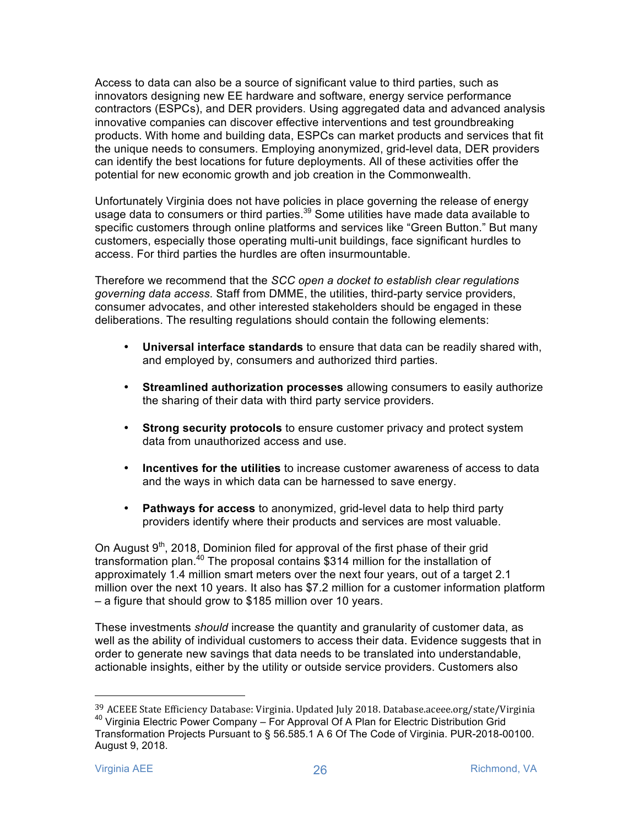Access to data can also be a source of significant value to third parties, such as innovators designing new EE hardware and software, energy service performance contractors (ESPCs), and DER providers. Using aggregated data and advanced analysis innovative companies can discover effective interventions and test groundbreaking products. With home and building data, ESPCs can market products and services that fit the unique needs to consumers. Employing anonymized, grid-level data, DER providers can identify the best locations for future deployments. All of these activities offer the potential for new economic growth and job creation in the Commonwealth.

Unfortunately Virginia does not have policies in place governing the release of energy usage data to consumers or third parties.<sup>39</sup> Some utilities have made data available to specific customers through online platforms and services like "Green Button." But many customers, especially those operating multi-unit buildings, face significant hurdles to access. For third parties the hurdles are often insurmountable.

Therefore we recommend that the *SCC open a docket to establish clear regulations governing data access*. Staff from DMME, the utilities, third-party service providers, consumer advocates, and other interested stakeholders should be engaged in these deliberations. The resulting regulations should contain the following elements:

- **Universal interface standards** to ensure that data can be readily shared with, and employed by, consumers and authorized third parties.
- **Streamlined authorization processes** allowing consumers to easily authorize the sharing of their data with third party service providers.
- **Strong security protocols** to ensure customer privacy and protect system data from unauthorized access and use.
- **Incentives for the utilities** to increase customer awareness of access to data and the ways in which data can be harnessed to save energy.
- **Pathways for access** to anonymized, grid-level data to help third party providers identify where their products and services are most valuable.

On August  $9<sup>th</sup>$ , 2018, Dominion filed for approval of the first phase of their grid transformation plan.40 The proposal contains \$314 million for the installation of approximately 1.4 million smart meters over the next four years, out of a target 2.1 million over the next 10 years. It also has \$7.2 million for a customer information platform – a figure that should grow to \$185 million over 10 years.

These investments *should* increase the quantity and granularity of customer data, as well as the ability of individual customers to access their data. Evidence suggests that in order to generate new savings that data needs to be translated into understandable, actionable insights, either by the utility or outside service providers. Customers also

<sup>&</sup>lt;sup>39</sup> ACEEE State Efficiency Database: Virginia. Updated July 2018. Database.aceee.org/state/Virginia  $^{40}$  Virginia Electric Power Company – For Approval Of A Plan for Electric Distribution Grid Transformation Projects Pursuant to § 56.585.1 A 6 Of The Code of Virginia. PUR-2018-00100. August 9, 2018.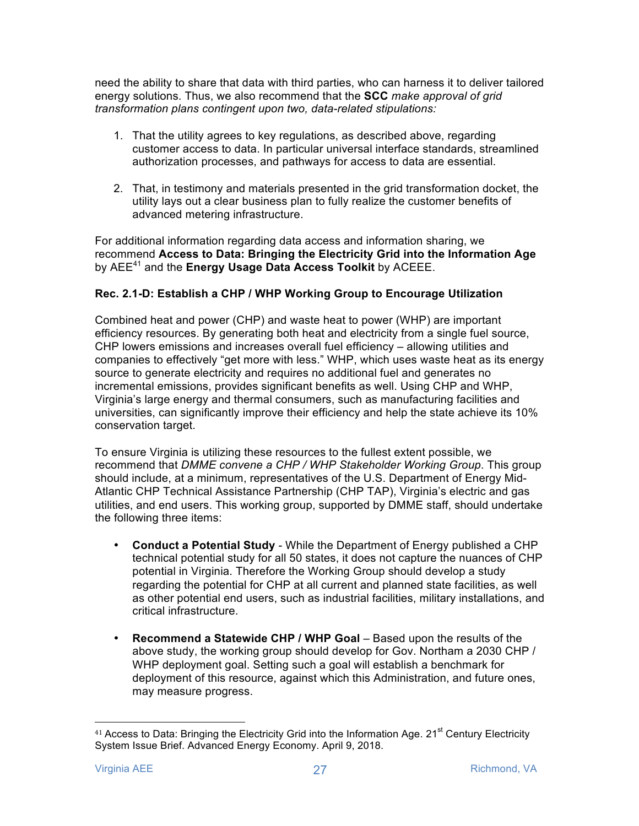need the ability to share that data with third parties, who can harness it to deliver tailored energy solutions. Thus, we also recommend that the **SCC** *make approval of grid transformation plans contingent upon two, data-related stipulations:* 

- 1. That the utility agrees to key regulations, as described above, regarding customer access to data. In particular universal interface standards, streamlined authorization processes, and pathways for access to data are essential.
- 2. That, in testimony and materials presented in the grid transformation docket, the utility lays out a clear business plan to fully realize the customer benefits of advanced metering infrastructure.

For additional information regarding data access and information sharing, we recommend **Access to Data: Bringing the Electricity Grid into the Information Age** by AEE<sup>41</sup> and the **Energy Usage Data Access Toolkit** by ACEEE.

#### **Rec. 2.1-D: Establish a CHP / WHP Working Group to Encourage Utilization**

Combined heat and power (CHP) and waste heat to power (WHP) are important efficiency resources. By generating both heat and electricity from a single fuel source, CHP lowers emissions and increases overall fuel efficiency – allowing utilities and companies to effectively "get more with less." WHP, which uses waste heat as its energy source to generate electricity and requires no additional fuel and generates no incremental emissions, provides significant benefits as well. Using CHP and WHP, Virginia's large energy and thermal consumers, such as manufacturing facilities and universities, can significantly improve their efficiency and help the state achieve its 10% conservation target.

To ensure Virginia is utilizing these resources to the fullest extent possible, we recommend that *DMME convene a CHP / WHP Stakeholder Working Group*. This group should include, at a minimum, representatives of the U.S. Department of Energy Mid-Atlantic CHP Technical Assistance Partnership (CHP TAP), Virginia's electric and gas utilities, and end users. This working group, supported by DMME staff, should undertake the following three items:

- **Conduct a Potential Study**  While the Department of Energy published a CHP technical potential study for all 50 states, it does not capture the nuances of CHP potential in Virginia. Therefore the Working Group should develop a study regarding the potential for CHP at all current and planned state facilities, as well as other potential end users, such as industrial facilities, military installations, and critical infrastructure.
- **Recommend a Statewide CHP / WHP Goal Based upon the results of the** above study, the working group should develop for Gov. Northam a 2030 CHP / WHP deployment goal. Setting such a goal will establish a benchmark for deployment of this resource, against which this Administration, and future ones, may measure progress.

 <sup>41</sup> Access to Data: Bringing the Electricity Grid into the Information Age. 21<sup>st</sup> Century Electricity System Issue Brief. Advanced Energy Economy. April 9, 2018.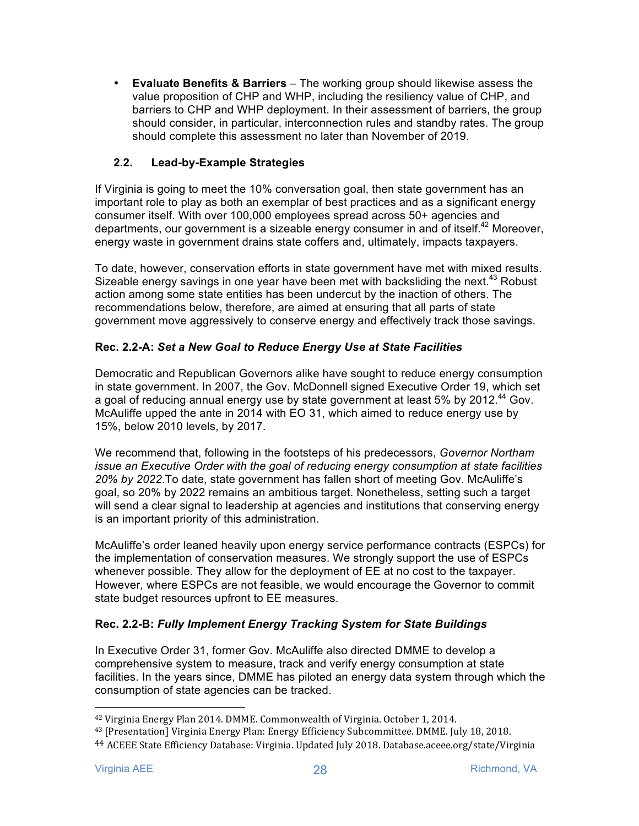• **Evaluate Benefits & Barriers** – The working group should likewise assess the value proposition of CHP and WHP, including the resiliency value of CHP, and barriers to CHP and WHP deployment. In their assessment of barriers, the group should consider, in particular, interconnection rules and standby rates. The group should complete this assessment no later than November of 2019.

# **2.2. Lead-by-Example Strategies**

If Virginia is going to meet the 10% conversation goal, then state government has an important role to play as both an exemplar of best practices and as a significant energy consumer itself. With over 100,000 employees spread across 50+ agencies and departments, our government is a sizeable energy consumer in and of itself.<sup>42</sup> Moreover, energy waste in government drains state coffers and, ultimately, impacts taxpayers.

To date, however, conservation efforts in state government have met with mixed results. Sizeable energy savings in one year have been met with backsliding the next.<sup>43</sup> Robust action among some state entities has been undercut by the inaction of others. The recommendations below, therefore, are aimed at ensuring that all parts of state government move aggressively to conserve energy and effectively track those savings.

# **Rec. 2.2-A:** *Set a New Goal to Reduce Energy Use at State Facilities*

Democratic and Republican Governors alike have sought to reduce energy consumption in state government. In 2007, the Gov. McDonnell signed Executive Order 19, which set a goal of reducing annual energy use by state government at least 5% by 2012.<sup>44</sup> Gov. McAuliffe upped the ante in 2014 with EO 31, which aimed to reduce energy use by 15%, below 2010 levels, by 2017.

We recommend that, following in the footsteps of his predecessors, *Governor Northam issue an Executive Order with the goal of reducing energy consumption at state facilities 20% by 2022*.To date, state government has fallen short of meeting Gov. McAuliffe's goal, so 20% by 2022 remains an ambitious target. Nonetheless, setting such a target will send a clear signal to leadership at agencies and institutions that conserving energy is an important priority of this administration.

McAuliffe's order leaned heavily upon energy service performance contracts (ESPCs) for the implementation of conservation measures. We strongly support the use of ESPCs whenever possible. They allow for the deployment of EE at no cost to the taxpayer. However, where ESPCs are not feasible, we would encourage the Governor to commit state budget resources upfront to EE measures.

#### **Rec. 2.2-B:** *Fully Implement Energy Tracking System for State Buildings*

In Executive Order 31, former Gov. McAuliffe also directed DMME to develop a comprehensive system to measure, track and verify energy consumption at state facilities. In the years since, DMME has piloted an energy data system through which the consumption of state agencies can be tracked.

<sup>&</sup>lt;sup>42</sup> Virginia Energy Plan 2014. DMME. Commonwealth of Virginia. October 1, 2014.

<sup>&</sup>lt;sup>43</sup> [Presentation] Virginia Energy Plan: Energy Efficiency Subcommittee. DMME. July 18, 2018.

<sup>&</sup>lt;sup>44</sup> ACEEE State Efficiency Database: Virginia. Updated July 2018. Database.aceee.org/state/Virginia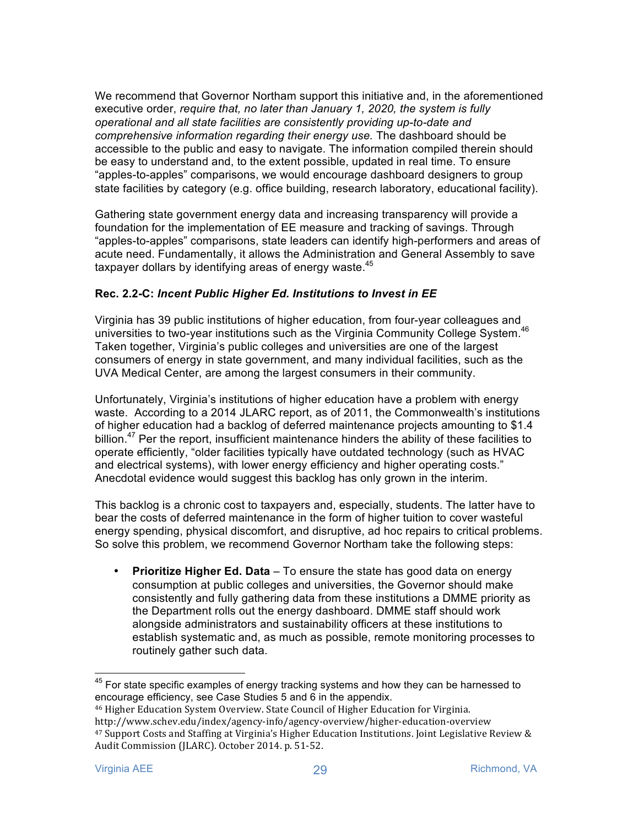We recommend that Governor Northam support this initiative and, in the aforementioned executive order, *require that, no later than January 1, 2020, the system is fully operational and all state facilities are consistently providing up-to-date and comprehensive information regarding their energy use.* The dashboard should be accessible to the public and easy to navigate. The information compiled therein should be easy to understand and, to the extent possible, updated in real time. To ensure "apples-to-apples" comparisons, we would encourage dashboard designers to group state facilities by category (e.g. office building, research laboratory, educational facility).

Gathering state government energy data and increasing transparency will provide a foundation for the implementation of EE measure and tracking of savings. Through "apples-to-apples" comparisons, state leaders can identify high-performers and areas of acute need. Fundamentally, it allows the Administration and General Assembly to save taxpayer dollars by identifying areas of energy waste.<sup>45</sup>

#### **Rec. 2.2-C:** *Incent Public Higher Ed. Institutions to Invest in EE*

Virginia has 39 public institutions of higher education, from four-year colleagues and universities to two-year institutions such as the Virginia Community College System.<sup>46</sup> Taken together, Virginia's public colleges and universities are one of the largest consumers of energy in state government, and many individual facilities, such as the UVA Medical Center, are among the largest consumers in their community.

Unfortunately, Virginia's institutions of higher education have a problem with energy waste. According to a 2014 JLARC report, as of 2011, the Commonwealth's institutions of higher education had a backlog of deferred maintenance projects amounting to \$1.4 billion.<sup>47</sup> Per the report, insufficient maintenance hinders the ability of these facilities to operate efficiently, "older facilities typically have outdated technology (such as HVAC and electrical systems), with lower energy efficiency and higher operating costs." Anecdotal evidence would suggest this backlog has only grown in the interim.

This backlog is a chronic cost to taxpayers and, especially, students. The latter have to bear the costs of deferred maintenance in the form of higher tuition to cover wasteful energy spending, physical discomfort, and disruptive, ad hoc repairs to critical problems. So solve this problem, we recommend Governor Northam take the following steps:

• **Prioritize Higher Ed. Data** – To ensure the state has good data on energy consumption at public colleges and universities, the Governor should make consistently and fully gathering data from these institutions a DMME priority as the Department rolls out the energy dashboard. DMME staff should work alongside administrators and sustainability officers at these institutions to establish systematic and, as much as possible, remote monitoring processes to routinely gather such data.

 $45$  For state specific examples of energy tracking systems and how they can be harnessed to encourage efficiency, see Case Studies 5 and 6 in the appendix.

<sup>&</sup>lt;sup>46</sup> Higher Education System Overview. State Council of Higher Education for Virginia. http://www.schev.edu/index/agency-info/agency-overview/higher-education-overview <sup>47</sup> Support Costs and Staffing at Virginia's Higher Education Institutions. Joint Legislative Review & Audit Commission (JLARC). October 2014. p. 51-52.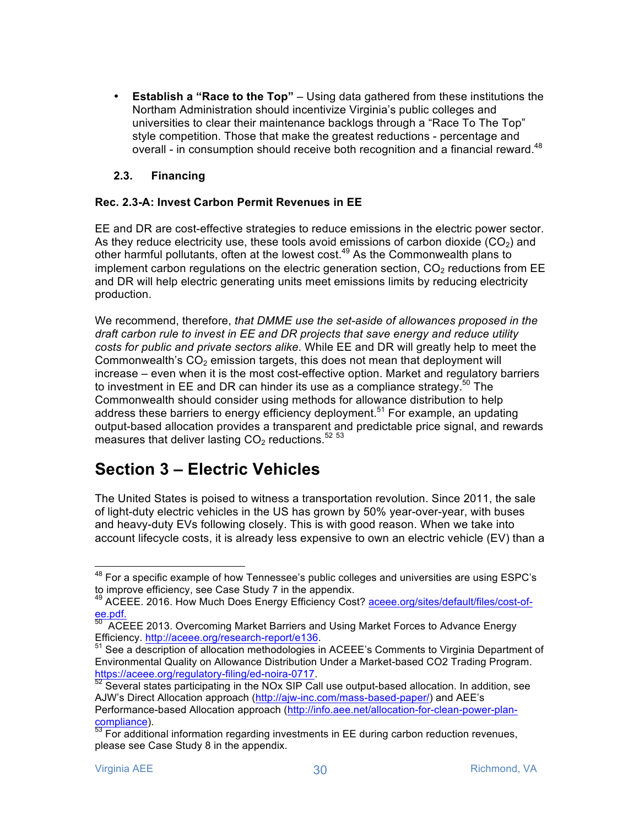• **Establish a "Race to the Top"** – Using data gathered from these institutions the Northam Administration should incentivize Virginia's public colleges and universities to clear their maintenance backlogs through a "Race To The Top" style competition. Those that make the greatest reductions - percentage and overall - in consumption should receive both recognition and a financial reward.<sup>48</sup>

# **2.3. Financing**

#### **Rec. 2.3-A: Invest Carbon Permit Revenues in EE**

EE and DR are cost-effective strategies to reduce emissions in the electric power sector. As they reduce electricity use, these tools avoid emissions of carbon dioxide  $(CO<sub>2</sub>)$  and other harmful pollutants, often at the lowest cost.<sup>49</sup> As the Commonwealth plans to implement carbon regulations on the electric generation section,  $CO<sub>2</sub>$  reductions from EE and DR will help electric generating units meet emissions limits by reducing electricity production.

We recommend, therefore, *that DMME use the set-aside of allowances proposed in the draft carbon rule to invest in EE and DR projects that save energy and reduce utility costs for public and private sectors alike*. While EE and DR will greatly help to meet the Commonwealth's  $CO<sub>2</sub>$  emission targets, this does not mean that deployment will increase – even when it is the most cost-effective option. Market and regulatory barriers to investment in EE and DR can hinder its use as a compliance strategy.<sup>50</sup> The Commonwealth should consider using methods for allowance distribution to help address these barriers to energy efficiency deployment.<sup>51</sup> For example, an updating output-based allocation provides a transparent and predictable price signal, and rewards measures that deliver lasting  $CO<sub>2</sub>$  reductions.<sup>52 53</sup>

# **Section 3 – Electric Vehicles**

The United States is poised to witness a transportation revolution. Since 2011, the sale of light-duty electric vehicles in the US has grown by 50% year-over-year, with buses and heavy-duty EVs following closely. This is with good reason. When we take into account lifecycle costs, it is already less expensive to own an electric vehicle (EV) than a

 $48$  For a specific example of how Tennessee's public colleges and universities are using ESPC's to improve efficiency, see Case Study 7 in the appendix.

<sup>&</sup>lt;sup>49</sup> ACEEE. 2016. How Much Does Energy Efficiency Cost? aceee.org/sites/default/files/cost-of-

ee.pdf.<br><sup>50</sup> ACEEE 2013. Overcoming Market Barriers and Using Market Forces to Advance Energy<br>Efficiency. http://aceee.org/research-report/e136.

<sup>&</sup>lt;sup>51</sup> See a description of allocation methodologies in ACEEE's Comments to Virginia Department of Environmental Quality on Allowance Distribution Under a Market-based CO2 Trading Program. https://aceee.org/regulatory-filing/ed-noira-0717.<br><sup>52</sup> Several states participating in the NOx SIP Call use output-based allocation. In addition, see

AJW's Direct Allocation approach (http://ajw-inc.com/mass-based-paper/) and AEE's Performance-based Allocation approach (http://info.aee.net/allocation-for-clean-power-plan-

 $\frac{\text{compliance}}{53}$  For additional information regarding investments in EE during carbon reduction revenues, please see Case Study 8 in the appendix.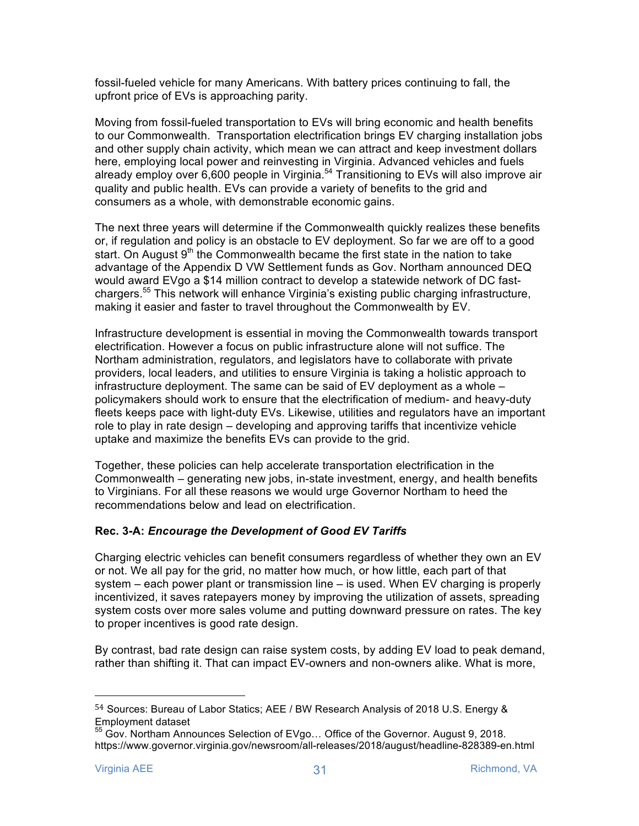fossil-fueled vehicle for many Americans. With battery prices continuing to fall, the upfront price of EVs is approaching parity.

Moving from fossil-fueled transportation to EVs will bring economic and health benefits to our Commonwealth. Transportation electrification brings EV charging installation jobs and other supply chain activity, which mean we can attract and keep investment dollars here, employing local power and reinvesting in Virginia. Advanced vehicles and fuels already employ over 6,600 people in Virginia.<sup>54</sup> Transitioning to EVs will also improve air quality and public health. EVs can provide a variety of benefits to the grid and consumers as a whole, with demonstrable economic gains.

The next three years will determine if the Commonwealth quickly realizes these benefits or, if regulation and policy is an obstacle to EV deployment. So far we are off to a good start. On August  $9<sup>th</sup>$  the Commonwealth became the first state in the nation to take advantage of the Appendix D VW Settlement funds as Gov. Northam announced DEQ would award EVgo a \$14 million contract to develop a statewide network of DC fastchargers.<sup>55</sup> This network will enhance Virginia's existing public charging infrastructure, making it easier and faster to travel throughout the Commonwealth by EV.

Infrastructure development is essential in moving the Commonwealth towards transport electrification. However a focus on public infrastructure alone will not suffice. The Northam administration, regulators, and legislators have to collaborate with private providers, local leaders, and utilities to ensure Virginia is taking a holistic approach to infrastructure deployment. The same can be said of EV deployment as a whole – policymakers should work to ensure that the electrification of medium- and heavy-duty fleets keeps pace with light-duty EVs. Likewise, utilities and regulators have an important role to play in rate design – developing and approving tariffs that incentivize vehicle uptake and maximize the benefits EVs can provide to the grid.

Together, these policies can help accelerate transportation electrification in the Commonwealth – generating new jobs, in-state investment, energy, and health benefits to Virginians. For all these reasons we would urge Governor Northam to heed the recommendations below and lead on electrification.

# **Rec. 3-A:** *Encourage the Development of Good EV Tariffs*

Charging electric vehicles can benefit consumers regardless of whether they own an EV or not. We all pay for the grid, no matter how much, or how little, each part of that system – each power plant or transmission line – is used. When EV charging is properly incentivized, it saves ratepayers money by improving the utilization of assets, spreading system costs over more sales volume and putting downward pressure on rates. The key to proper incentives is good rate design.

By contrast, bad rate design can raise system costs, by adding EV load to peak demand, rather than shifting it. That can impact EV-owners and non-owners alike. What is more,

<sup>54</sup> Sources: Bureau of Labor Statics; AEE / BW Research Analysis of 2018 U.S. Energy & Employment dataset

<sup>55</sup> Gov. Northam Announces Selection of EVgo… Office of the Governor. August 9, 2018. https://www.governor.virginia.gov/newsroom/all-releases/2018/august/headline-828389-en.html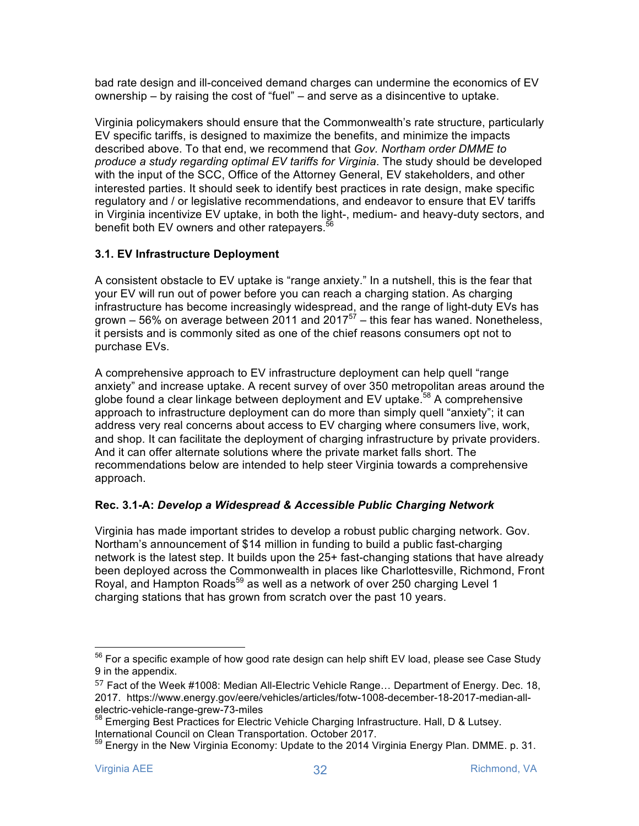bad rate design and ill-conceived demand charges can undermine the economics of EV ownership – by raising the cost of "fuel" – and serve as a disincentive to uptake.

Virginia policymakers should ensure that the Commonwealth's rate structure, particularly EV specific tariffs, is designed to maximize the benefits, and minimize the impacts described above. To that end, we recommend that *Gov. Northam order DMME to produce a study regarding optimal EV tariffs for Virginia*. The study should be developed with the input of the SCC, Office of the Attorney General, EV stakeholders, and other interested parties. It should seek to identify best practices in rate design, make specific regulatory and / or legislative recommendations, and endeavor to ensure that EV tariffs in Virginia incentivize EV uptake, in both the light-, medium- and heavy-duty sectors, and benefit both EV owners and other ratepayers.<sup>56</sup>

# **3.1. EV Infrastructure Deployment**

A consistent obstacle to EV uptake is "range anxiety." In a nutshell, this is the fear that your EV will run out of power before you can reach a charging station. As charging infrastructure has become increasingly widespread, and the range of light-duty EVs has grown – 56% on average between 2011 and  $2017^{57}$  – this fear has waned. Nonetheless, it persists and is commonly sited as one of the chief reasons consumers opt not to purchase EVs.

A comprehensive approach to EV infrastructure deployment can help quell "range anxiety" and increase uptake. A recent survey of over 350 metropolitan areas around the globe found a clear linkage between deployment and  $EV$  uptake.<sup>58</sup> A comprehensive approach to infrastructure deployment can do more than simply quell "anxiety"; it can address very real concerns about access to EV charging where consumers live, work, and shop. It can facilitate the deployment of charging infrastructure by private providers. And it can offer alternate solutions where the private market falls short. The recommendations below are intended to help steer Virginia towards a comprehensive approach.

# **Rec. 3.1-A:** *Develop a Widespread & Accessible Public Charging Network*

Virginia has made important strides to develop a robust public charging network. Gov. Northam's announcement of \$14 million in funding to build a public fast-charging network is the latest step. It builds upon the 25+ fast-changing stations that have already been deployed across the Commonwealth in places like Charlottesville, Richmond, Front Royal, and Hampton Roads<sup>59</sup> as well as a network of over 250 charging Level 1 charging stations that has grown from scratch over the past 10 years.

 $56$  For a specific example of how good rate design can help shift EV load, please see Case Study 9 in the appendix.

<sup>57</sup> Fact of the Week #1008: Median All-Electric Vehicle Range… Department of Energy. Dec. 18, 2017. https://www.energy.gov/eere/vehicles/articles/fotw-1008-december-18-2017-median-allelectric-vehicle-range-grew-73-miles

<sup>&</sup>lt;sup>58</sup> Emerging Best Practices for Electric Vehicle Charging Infrastructure. Hall, D & Lutsey.

International Council on Clean Transportation. October 2017.<br><sup>59</sup> Energy in the New Virginia Economy: Update to the 2014 Virginia Energy Plan. DMME. p. 31.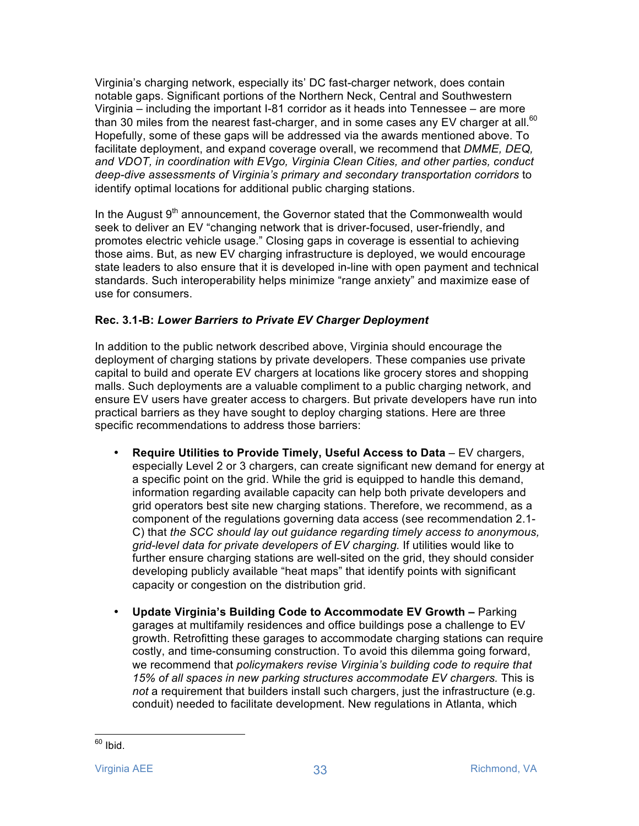Virginia's charging network, especially its' DC fast-charger network, does contain notable gaps. Significant portions of the Northern Neck, Central and Southwestern Virginia – including the important I-81 corridor as it heads into Tennessee – are more than 30 miles from the nearest fast-charger, and in some cases any EV charger at all.<sup>60</sup> Hopefully, some of these gaps will be addressed via the awards mentioned above. To facilitate deployment, and expand coverage overall, we recommend that *DMME, DEQ, and VDOT, in coordination with EVgo, Virginia Clean Cities, and other parties, conduct deep-dive assessments of Virginia's primary and secondary transportation corridors* to identify optimal locations for additional public charging stations.

In the August 9<sup>th</sup> announcement, the Governor stated that the Commonwealth would seek to deliver an EV "changing network that is driver-focused, user-friendly, and promotes electric vehicle usage." Closing gaps in coverage is essential to achieving those aims. But, as new EV charging infrastructure is deployed, we would encourage state leaders to also ensure that it is developed in-line with open payment and technical standards. Such interoperability helps minimize "range anxiety" and maximize ease of use for consumers.

#### **Rec. 3.1-B:** *Lower Barriers to Private EV Charger Deployment*

In addition to the public network described above, Virginia should encourage the deployment of charging stations by private developers. These companies use private capital to build and operate EV chargers at locations like grocery stores and shopping malls. Such deployments are a valuable compliment to a public charging network, and ensure EV users have greater access to chargers. But private developers have run into practical barriers as they have sought to deploy charging stations. Here are three specific recommendations to address those barriers:

- Require Utilities to Provide Timely, Useful Access to Data EV chargers, especially Level 2 or 3 chargers, can create significant new demand for energy at a specific point on the grid. While the grid is equipped to handle this demand, information regarding available capacity can help both private developers and grid operators best site new charging stations. Therefore, we recommend, as a component of the regulations governing data access (see recommendation 2.1- C) that *the SCC should lay out guidance regarding timely access to anonymous, grid-level data for private developers of EV charging.* If utilities would like to further ensure charging stations are well-sited on the grid, they should consider developing publicly available "heat maps" that identify points with significant capacity or congestion on the distribution grid.
- **Update Virginia's Building Code to Accommodate EV Growth –** Parking garages at multifamily residences and office buildings pose a challenge to EV growth. Retrofitting these garages to accommodate charging stations can require costly, and time-consuming construction. To avoid this dilemma going forward, we recommend that *policymakers revise Virginia's building code to require that 15% of all spaces in new parking structures accommodate EV chargers.* This is *not* a requirement that builders install such chargers, just the infrastructure (e.g. conduit) needed to facilitate development. New regulations in Atlanta, which

 $60$  Ibid.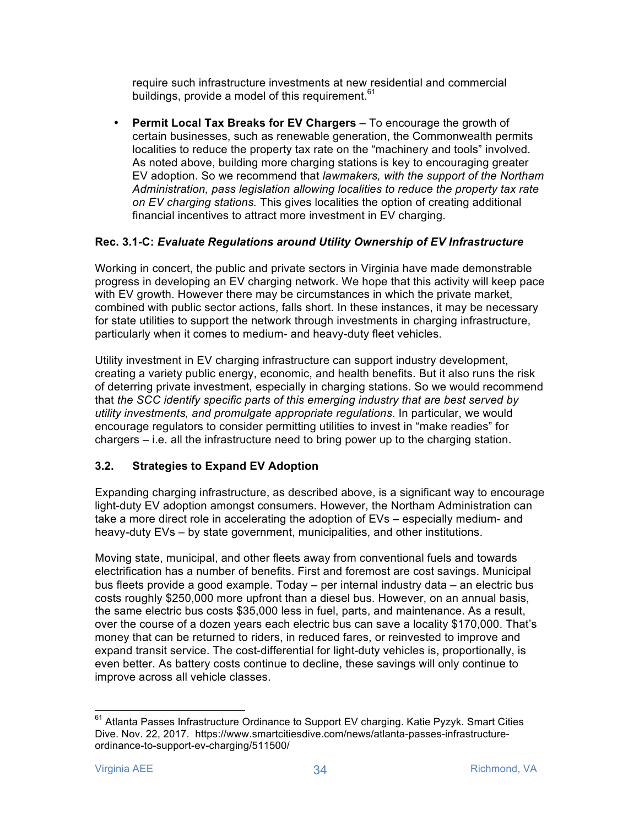require such infrastructure investments at new residential and commercial buildings, provide a model of this requirement. $61$ 

• **Permit Local Tax Breaks for EV Chargers** – To encourage the growth of certain businesses, such as renewable generation, the Commonwealth permits localities to reduce the property tax rate on the "machinery and tools" involved. As noted above, building more charging stations is key to encouraging greater EV adoption. So we recommend that *lawmakers, with the support of the Northam Administration, pass legislation allowing localities to reduce the property tax rate on EV charging stations.* This gives localities the option of creating additional financial incentives to attract more investment in EV charging.

# **Rec. 3.1-C:** *Evaluate Regulations around Utility Ownership of EV Infrastructure*

Working in concert, the public and private sectors in Virginia have made demonstrable progress in developing an EV charging network. We hope that this activity will keep pace with EV growth. However there may be circumstances in which the private market, combined with public sector actions, falls short. In these instances, it may be necessary for state utilities to support the network through investments in charging infrastructure, particularly when it comes to medium- and heavy-duty fleet vehicles.

Utility investment in EV charging infrastructure can support industry development, creating a variety public energy, economic, and health benefits. But it also runs the risk of deterring private investment, especially in charging stations. So we would recommend that *the SCC identify specific parts of this emerging industry that are best served by utility investments, and promulgate appropriate regulations*. In particular, we would encourage regulators to consider permitting utilities to invest in "make readies" for chargers – i.e. all the infrastructure need to bring power up to the charging station.

# **3.2. Strategies to Expand EV Adoption**

Expanding charging infrastructure, as described above, is a significant way to encourage light-duty EV adoption amongst consumers. However, the Northam Administration can take a more direct role in accelerating the adoption of EVs – especially medium- and heavy-duty EVs – by state government, municipalities, and other institutions.

Moving state, municipal, and other fleets away from conventional fuels and towards electrification has a number of benefits. First and foremost are cost savings. Municipal bus fleets provide a good example. Today – per internal industry data – an electric bus costs roughly \$250,000 more upfront than a diesel bus. However, on an annual basis, the same electric bus costs \$35,000 less in fuel, parts, and maintenance. As a result, over the course of a dozen years each electric bus can save a locality \$170,000. That's money that can be returned to riders, in reduced fares, or reinvested to improve and expand transit service. The cost-differential for light-duty vehicles is, proportionally, is even better. As battery costs continue to decline, these savings will only continue to improve across all vehicle classes.

<sup>&</sup>lt;sup>61</sup> Atlanta Passes Infrastructure Ordinance to Support EV charging. Katie Pyzyk. Smart Cities Dive. Nov. 22, 2017. https://www.smartcitiesdive.com/news/atlanta-passes-infrastructureordinance-to-support-ev-charging/511500/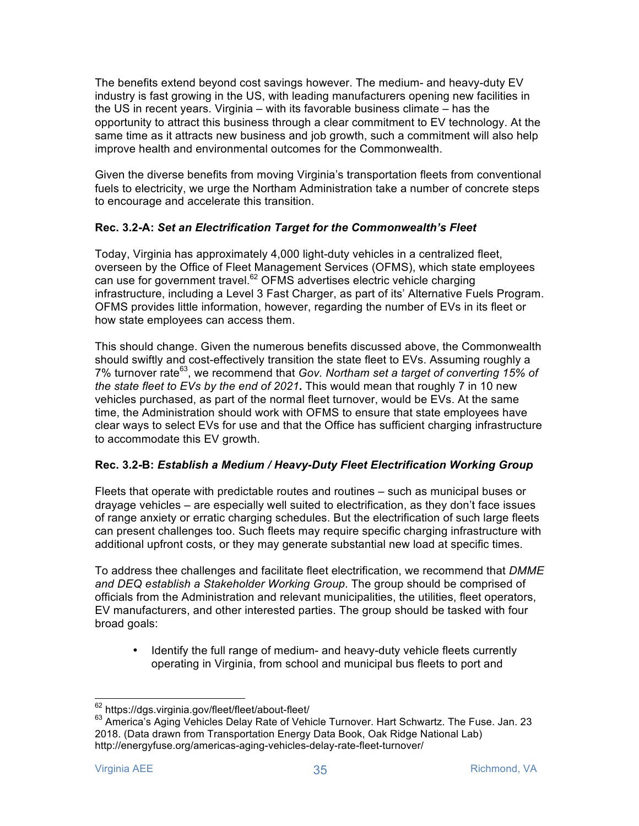The benefits extend beyond cost savings however. The medium- and heavy-duty EV industry is fast growing in the US, with leading manufacturers opening new facilities in the US in recent years. Virginia – with its favorable business climate – has the opportunity to attract this business through a clear commitment to EV technology. At the same time as it attracts new business and job growth, such a commitment will also help improve health and environmental outcomes for the Commonwealth.

Given the diverse benefits from moving Virginia's transportation fleets from conventional fuels to electricity, we urge the Northam Administration take a number of concrete steps to encourage and accelerate this transition.

#### **Rec. 3.2-A:** *Set an Electrification Target for the Commonwealth's Fleet*

Today, Virginia has approximately 4,000 light-duty vehicles in a centralized fleet, overseen by the Office of Fleet Management Services (OFMS), which state employees can use for government travel.<sup>62</sup> OFMS advertises electric vehicle charging infrastructure, including a Level 3 Fast Charger, as part of its' Alternative Fuels Program. OFMS provides little information, however, regarding the number of EVs in its fleet or how state employees can access them.

This should change. Given the numerous benefits discussed above, the Commonwealth should swiftly and cost-effectively transition the state fleet to EVs. Assuming roughly a 7% turnover rate63, we recommend that *Gov. Northam set a target of converting 15% of the state fleet to EVs by the end of 2021***.** This would mean that roughly 7 in 10 new vehicles purchased, as part of the normal fleet turnover, would be EVs. At the same time, the Administration should work with OFMS to ensure that state employees have clear ways to select EVs for use and that the Office has sufficient charging infrastructure to accommodate this EV growth.

#### **Rec. 3.2-B:** *Establish a Medium / Heavy-Duty Fleet Electrification Working Group*

Fleets that operate with predictable routes and routines – such as municipal buses or drayage vehicles – are especially well suited to electrification, as they don't face issues of range anxiety or erratic charging schedules. But the electrification of such large fleets can present challenges too. Such fleets may require specific charging infrastructure with additional upfront costs, or they may generate substantial new load at specific times.

To address thee challenges and facilitate fleet electrification, we recommend that *DMME and DEQ establish a Stakeholder Working Group*. The group should be comprised of officials from the Administration and relevant municipalities, the utilities, fleet operators, EV manufacturers, and other interested parties. The group should be tasked with four broad goals:

• Identify the full range of medium- and heavy-duty vehicle fleets currently operating in Virginia, from school and municipal bus fleets to port and

 <sup>62</sup> https://dgs.virginia.gov/fleet/fleet/about-fleet/

<sup>63</sup> America's Aging Vehicles Delay Rate of Vehicle Turnover. Hart Schwartz. The Fuse. Jan. 23 2018. (Data drawn from Transportation Energy Data Book, Oak Ridge National Lab) http://energyfuse.org/americas-aging-vehicles-delay-rate-fleet-turnover/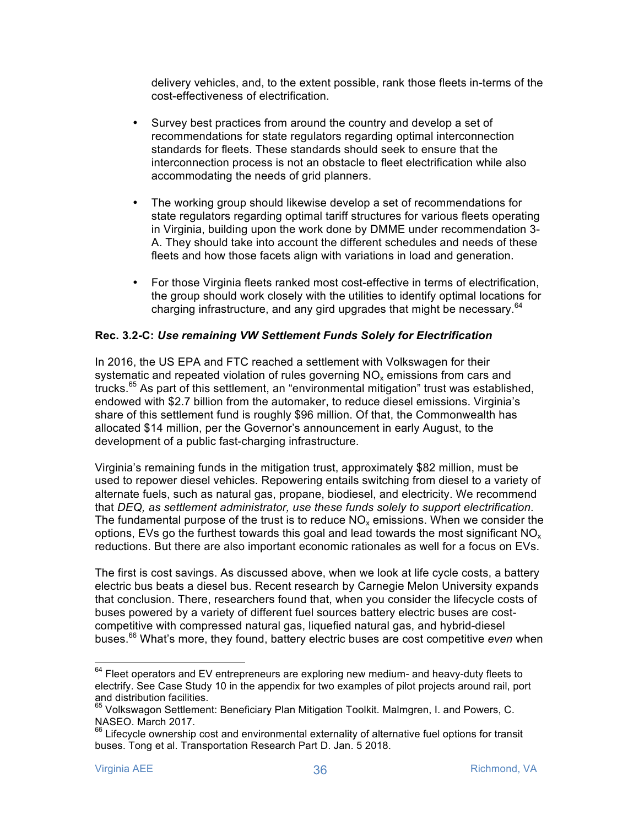delivery vehicles, and, to the extent possible, rank those fleets in-terms of the cost-effectiveness of electrification.

- Survey best practices from around the country and develop a set of recommendations for state regulators regarding optimal interconnection standards for fleets. These standards should seek to ensure that the interconnection process is not an obstacle to fleet electrification while also accommodating the needs of grid planners.
- The working group should likewise develop a set of recommendations for state regulators regarding optimal tariff structures for various fleets operating in Virginia, building upon the work done by DMME under recommendation 3- A. They should take into account the different schedules and needs of these fleets and how those facets align with variations in load and generation.
- For those Virginia fleets ranked most cost-effective in terms of electrification, the group should work closely with the utilities to identify optimal locations for charging infrastructure, and any gird upgrades that might be necessary.  $64$

#### **Rec. 3.2-C:** *Use remaining VW Settlement Funds Solely for Electrification*

In 2016, the US EPA and FTC reached a settlement with Volkswagen for their systematic and repeated violation of rules governing  $NO<sub>x</sub>$  emissions from cars and trucks.<sup>65</sup> As part of this settlement, an "environmental mitigation" trust was established, endowed with \$2.7 billion from the automaker, to reduce diesel emissions. Virginia's share of this settlement fund is roughly \$96 million. Of that, the Commonwealth has allocated \$14 million, per the Governor's announcement in early August, to the development of a public fast-charging infrastructure.

Virginia's remaining funds in the mitigation trust, approximately \$82 million, must be used to repower diesel vehicles. Repowering entails switching from diesel to a variety of alternate fuels, such as natural gas, propane, biodiesel, and electricity. We recommend that *DEQ, as settlement administrator, use these funds solely to support electrification*. The fundamental purpose of the trust is to reduce  $NO<sub>x</sub>$  emissions. When we consider the options, EVs go the furthest towards this goal and lead towards the most significant  $NO<sub>x</sub>$ reductions. But there are also important economic rationales as well for a focus on EVs.

The first is cost savings. As discussed above, when we look at life cycle costs, a battery electric bus beats a diesel bus. Recent research by Carnegie Melon University expands that conclusion. There, researchers found that, when you consider the lifecycle costs of buses powered by a variety of different fuel sources battery electric buses are costcompetitive with compressed natural gas, liquefied natural gas, and hybrid-diesel buses.<sup>66</sup> What's more, they found, battery electric buses are cost competitive *even* when

 $64$  Fleet operators and EV entrepreneurs are exploring new medium- and heavy-duty fleets to electrify. See Case Study 10 in the appendix for two examples of pilot projects around rail, port and distribution facilities.

<sup>&</sup>lt;sup>65</sup> Volkswagon Settlement: Beneficiary Plan Mitigation Toolkit. Malmgren, I. and Powers, C. NASEO. March 2017.

<sup>66</sup> Lifecycle ownership cost and environmental externality of alternative fuel options for transit buses. Tong et al. Transportation Research Part D. Jan. 5 2018.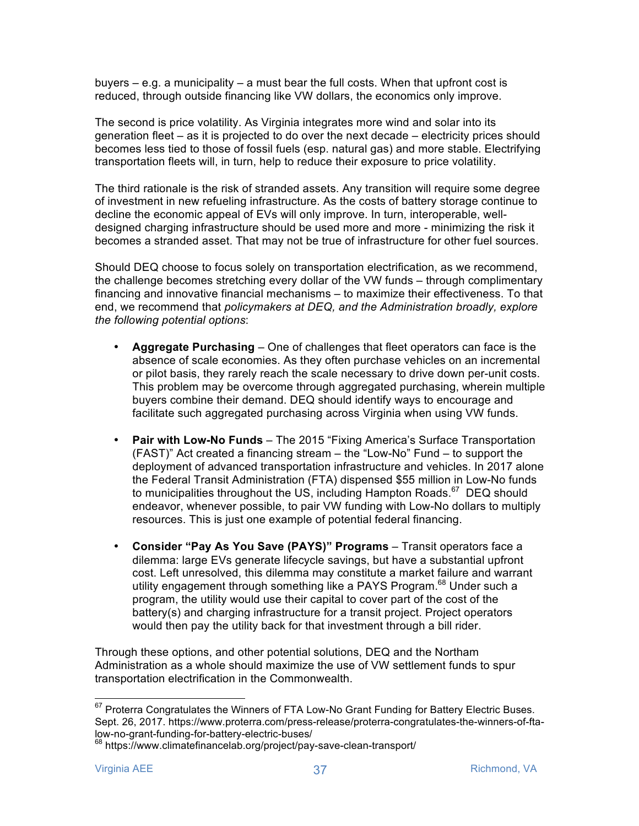buyers – e.g. a municipality – a must bear the full costs. When that upfront cost is reduced, through outside financing like VW dollars, the economics only improve.

The second is price volatility. As Virginia integrates more wind and solar into its generation fleet – as it is projected to do over the next decade – electricity prices should becomes less tied to those of fossil fuels (esp. natural gas) and more stable. Electrifying transportation fleets will, in turn, help to reduce their exposure to price volatility.

The third rationale is the risk of stranded assets. Any transition will require some degree of investment in new refueling infrastructure. As the costs of battery storage continue to decline the economic appeal of EVs will only improve. In turn, interoperable, welldesigned charging infrastructure should be used more and more - minimizing the risk it becomes a stranded asset. That may not be true of infrastructure for other fuel sources.

Should DEQ choose to focus solely on transportation electrification, as we recommend, the challenge becomes stretching every dollar of the VW funds – through complimentary financing and innovative financial mechanisms – to maximize their effectiveness. To that end, we recommend that *policymakers at DEQ, and the Administration broadly, explore the following potential options*:

- **Aggregate Purchasing**  One of challenges that fleet operators can face is the absence of scale economies. As they often purchase vehicles on an incremental or pilot basis, they rarely reach the scale necessary to drive down per-unit costs. This problem may be overcome through aggregated purchasing, wherein multiple buyers combine their demand. DEQ should identify ways to encourage and facilitate such aggregated purchasing across Virginia when using VW funds.
- **Pair with Low-No Funds**  The 2015 "Fixing America's Surface Transportation (FAST)" Act created a financing stream – the "Low-No" Fund – to support the deployment of advanced transportation infrastructure and vehicles. In 2017 alone the Federal Transit Administration (FTA) dispensed \$55 million in Low-No funds to municipalities throughout the US, including Hampton Roads. $67$  DEQ should endeavor, whenever possible, to pair VW funding with Low-No dollars to multiply resources. This is just one example of potential federal financing.
- **Consider "Pay As You Save (PAYS)" Programs**  Transit operators face a dilemma: large EVs generate lifecycle savings, but have a substantial upfront cost. Left unresolved, this dilemma may constitute a market failure and warrant utility engagement through something like a PAYS Program.<sup>68</sup> Under such a program, the utility would use their capital to cover part of the cost of the battery(s) and charging infrastructure for a transit project. Project operators would then pay the utility back for that investment through a bill rider.

Through these options, and other potential solutions, DEQ and the Northam Administration as a whole should maximize the use of VW settlement funds to spur transportation electrification in the Commonwealth.

<sup>&</sup>lt;sup>67</sup> Proterra Congratulates the Winners of FTA Low-No Grant Funding for Battery Electric Buses. Sept. 26, 2017. https://www.proterra.com/press-release/proterra-congratulates-the-winners-of-ftalow-no-grant-funding-for-battery-electric-buses/

<sup>&</sup>lt;sup>68</sup> https://www.climatefinancelab.org/project/pay-save-clean-transport/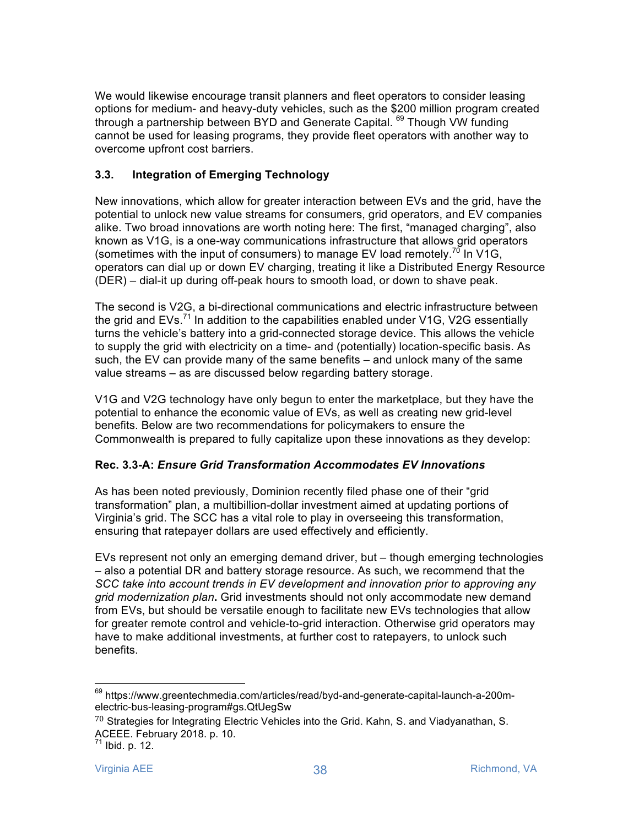We would likewise encourage transit planners and fleet operators to consider leasing options for medium- and heavy-duty vehicles, such as the \$200 million program created through a partnership between BYD and Generate Capital. <sup>69</sup> Though VW funding cannot be used for leasing programs, they provide fleet operators with another way to overcome upfront cost barriers.

# **3.3. Integration of Emerging Technology**

New innovations, which allow for greater interaction between EVs and the grid, have the potential to unlock new value streams for consumers, grid operators, and EV companies alike. Two broad innovations are worth noting here: The first, "managed charging", also known as V1G, is a one-way communications infrastructure that allows grid operators (sometimes with the input of consumers) to manage EV load remotely.<sup>70</sup> In V1G, operators can dial up or down EV charging, treating it like a Distributed Energy Resource (DER) – dial-it up during off-peak hours to smooth load, or down to shave peak.

The second is V2G, a bi-directional communications and electric infrastructure between the grid and  $EVS$ .<sup>71</sup> In addition to the capabilities enabled under V1G, V2G essentially turns the vehicle's battery into a grid-connected storage device. This allows the vehicle to supply the grid with electricity on a time- and (potentially) location-specific basis. As such, the EV can provide many of the same benefits – and unlock many of the same value streams – as are discussed below regarding battery storage.

V1G and V2G technology have only begun to enter the marketplace, but they have the potential to enhance the economic value of EVs, as well as creating new grid-level benefits. Below are two recommendations for policymakers to ensure the Commonwealth is prepared to fully capitalize upon these innovations as they develop:

#### **Rec. 3.3-A:** *Ensure Grid Transformation Accommodates EV Innovations*

As has been noted previously, Dominion recently filed phase one of their "grid transformation" plan, a multibillion-dollar investment aimed at updating portions of Virginia's grid. The SCC has a vital role to play in overseeing this transformation, ensuring that ratepayer dollars are used effectively and efficiently.

EVs represent not only an emerging demand driver, but – though emerging technologies – also a potential DR and battery storage resource. As such, we recommend that the *SCC take into account trends in EV development and innovation prior to approving any grid modernization plan***.** Grid investments should not only accommodate new demand from EVs, but should be versatile enough to facilitate new EVs technologies that allow for greater remote control and vehicle-to-grid interaction. Otherwise grid operators may have to make additional investments, at further cost to ratepayers, to unlock such benefits.

 <sup>69</sup> https://www.greentechmedia.com/articles/read/byd-and-generate-capital-launch-a-200melectric-bus-leasing-program#gs.QtUegSw

<sup>70</sup> Strategies for Integrating Electric Vehicles into the Grid. Kahn, S. and Viadyanathan, S. ACEEE. February 2018. p. 10.

 $71$  Ibid. p. 12.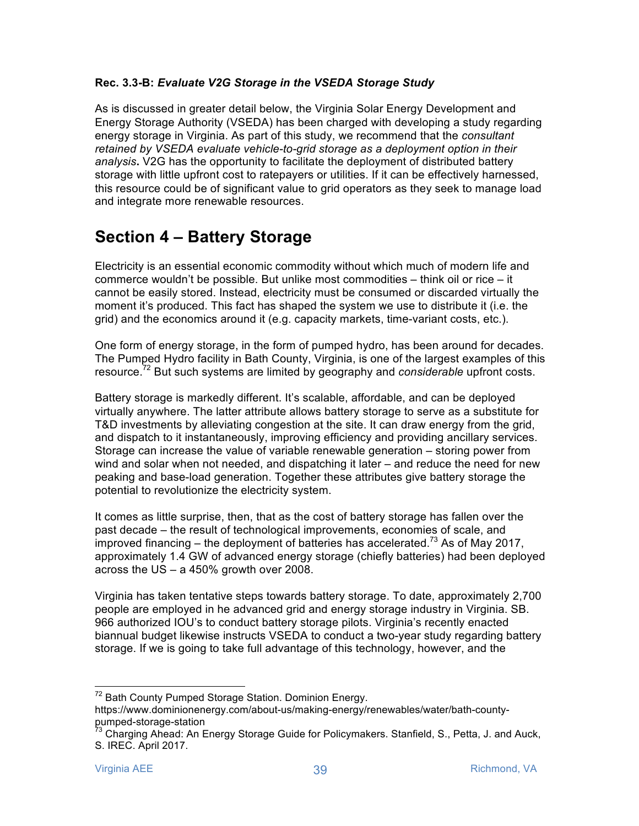#### **Rec. 3.3-B:** *Evaluate V2G Storage in the VSEDA Storage Study*

As is discussed in greater detail below, the Virginia Solar Energy Development and Energy Storage Authority (VSEDA) has been charged with developing a study regarding energy storage in Virginia. As part of this study, we recommend that the *consultant retained by VSEDA evaluate vehicle-to-grid storage as a deployment option in their analysis***.** V2G has the opportunity to facilitate the deployment of distributed battery storage with little upfront cost to ratepayers or utilities. If it can be effectively harnessed, this resource could be of significant value to grid operators as they seek to manage load and integrate more renewable resources.

# **Section 4 – Battery Storage**

Electricity is an essential economic commodity without which much of modern life and commerce wouldn't be possible. But unlike most commodities  $-$  think oil or rice  $-$  it cannot be easily stored. Instead, electricity must be consumed or discarded virtually the moment it's produced. This fact has shaped the system we use to distribute it (i.e. the grid) and the economics around it (e.g. capacity markets, time-variant costs, etc.).

One form of energy storage, in the form of pumped hydro, has been around for decades. The Pumped Hydro facility in Bath County, Virginia, is one of the largest examples of this resource.<sup>72</sup> But such systems are limited by geography and *considerable* upfront costs.

Battery storage is markedly different. It's scalable, affordable, and can be deployed virtually anywhere. The latter attribute allows battery storage to serve as a substitute for T&D investments by alleviating congestion at the site. It can draw energy from the grid, and dispatch to it instantaneously, improving efficiency and providing ancillary services. Storage can increase the value of variable renewable generation – storing power from wind and solar when not needed, and dispatching it later – and reduce the need for new peaking and base-load generation. Together these attributes give battery storage the potential to revolutionize the electricity system.

It comes as little surprise, then, that as the cost of battery storage has fallen over the past decade – the result of technological improvements, economies of scale, and improved financing – the deployment of batteries has accelerated.<sup>73</sup> As of May 2017, approximately 1.4 GW of advanced energy storage (chiefly batteries) had been deployed across the US – a 450% growth over 2008.

Virginia has taken tentative steps towards battery storage. To date, approximately 2,700 people are employed in he advanced grid and energy storage industry in Virginia. SB. 966 authorized IOU's to conduct battery storage pilots. Virginia's recently enacted biannual budget likewise instructs VSEDA to conduct a two-year study regarding battery storage. If we is going to take full advantage of this technology, however, and the

<sup>&</sup>lt;sup>72</sup> Bath County Pumped Storage Station. Dominion Energy.

https://www.dominionenergy.com/about-us/making-energy/renewables/water/bath-countypumped-storage-station

<sup>&</sup>lt;sup>73</sup> Charging Ahead: An Energy Storage Guide for Policymakers. Stanfield, S., Petta, J. and Auck, S. IREC. April 2017.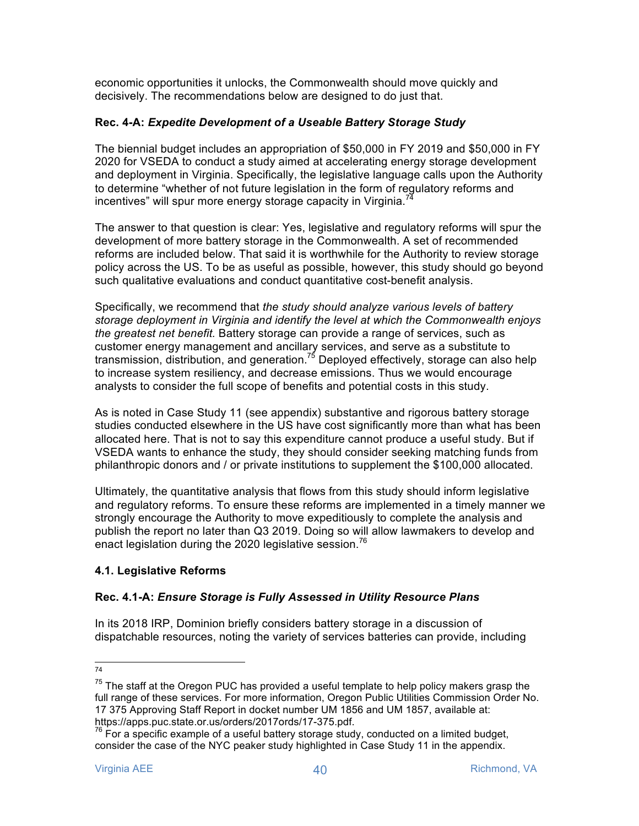economic opportunities it unlocks, the Commonwealth should move quickly and decisively. The recommendations below are designed to do just that.

#### **Rec. 4-A:** *Expedite Development of a Useable Battery Storage Study*

The biennial budget includes an appropriation of \$50,000 in FY 2019 and \$50,000 in FY 2020 for VSEDA to conduct a study aimed at accelerating energy storage development and deployment in Virginia. Specifically, the legislative language calls upon the Authority to determine "whether of not future legislation in the form of regulatory reforms and incentives" will spur more energy storage capacity in Virginia.<sup>74</sup>

The answer to that question is clear: Yes, legislative and regulatory reforms will spur the development of more battery storage in the Commonwealth. A set of recommended reforms are included below. That said it is worthwhile for the Authority to review storage policy across the US. To be as useful as possible, however, this study should go beyond such qualitative evaluations and conduct quantitative cost-benefit analysis.

Specifically, we recommend that *the study should analyze various levels of battery storage deployment in Virginia and identify the level at which the Commonwealth enjoys the greatest net benefit.* Battery storage can provide a range of services, such as customer energy management and ancillary services, and serve as a substitute to transmission, distribution, and generation.<sup>75</sup> Deployed effectively, storage can also help to increase system resiliency, and decrease emissions. Thus we would encourage analysts to consider the full scope of benefits and potential costs in this study.

As is noted in Case Study 11 (see appendix) substantive and rigorous battery storage studies conducted elsewhere in the US have cost significantly more than what has been allocated here. That is not to say this expenditure cannot produce a useful study. But if VSEDA wants to enhance the study, they should consider seeking matching funds from philanthropic donors and / or private institutions to supplement the \$100,000 allocated.

Ultimately, the quantitative analysis that flows from this study should inform legislative and regulatory reforms. To ensure these reforms are implemented in a timely manner we strongly encourage the Authority to move expeditiously to complete the analysis and publish the report no later than Q3 2019. Doing so will allow lawmakers to develop and enact legislation during the 2020 legislative session.<sup>76</sup>

# **4.1. Legislative Reforms**

# **Rec. 4.1-A:** *Ensure Storage is Fully Assessed in Utility Resource Plans*

In its 2018 IRP, Dominion briefly considers battery storage in a discussion of dispatchable resources, noting the variety of services batteries can provide, including

 <sup>74</sup>

 $75$  The staff at the Oregon PUC has provided a useful template to help policy makers grasp the full range of these services. For more information, Oregon Public Utilities Commission Order No. 17 375 Approving Staff Report in docket number UM 1856 and UM 1857, available at:

https://apps.puc.state.or.us/orders/2017ords/17-375.pdf.<br><sup>76</sup> For a specific example of a useful battery storage study, conducted on a limited budget, consider the case of the NYC peaker study highlighted in Case Study 11 in the appendix.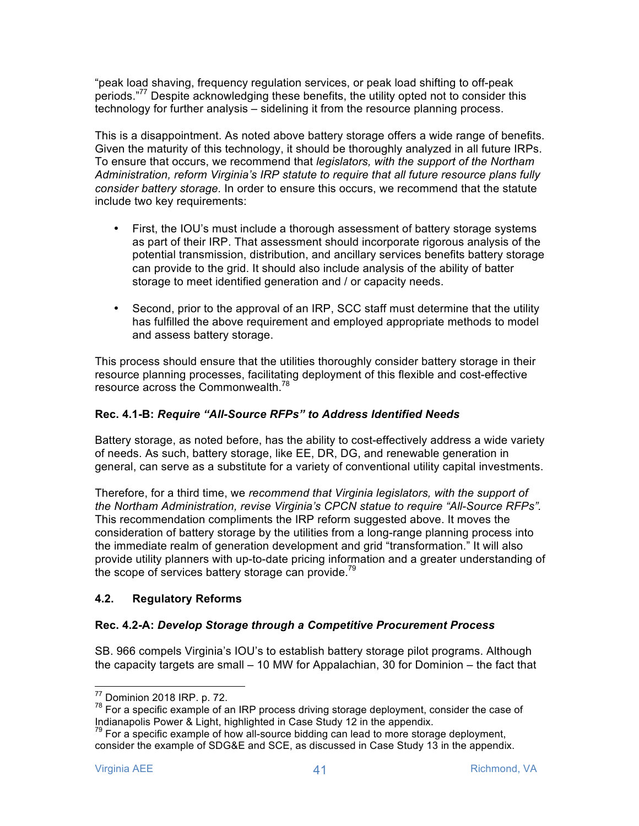"peak load shaving, frequency regulation services, or peak load shifting to off-peak periods."77 Despite acknowledging these benefits, the utility opted not to consider this technology for further analysis – sidelining it from the resource planning process.

This is a disappointment. As noted above battery storage offers a wide range of benefits. Given the maturity of this technology, it should be thoroughly analyzed in all future IRPs. To ensure that occurs, we recommend that *legislators, with the support of the Northam Administration, reform Virginia's IRP statute to require that all future resource plans fully consider battery storage.* In order to ensure this occurs, we recommend that the statute include two key requirements:

- First, the IOU's must include a thorough assessment of battery storage systems as part of their IRP. That assessment should incorporate rigorous analysis of the potential transmission, distribution, and ancillary services benefits battery storage can provide to the grid. It should also include analysis of the ability of batter storage to meet identified generation and / or capacity needs.
- Second, prior to the approval of an IRP, SCC staff must determine that the utility has fulfilled the above requirement and employed appropriate methods to model and assess battery storage.

This process should ensure that the utilities thoroughly consider battery storage in their resource planning processes, facilitating deployment of this flexible and cost-effective resource across the Commonwealth.78

# **Rec. 4.1-B:** *Require "All-Source RFPs" to Address Identified Needs*

Battery storage, as noted before, has the ability to cost-effectively address a wide variety of needs. As such, battery storage, like EE, DR, DG, and renewable generation in general, can serve as a substitute for a variety of conventional utility capital investments.

Therefore, for a third time, we *recommend that Virginia legislators, with the support of the Northam Administration, revise Virginia's CPCN statue to require "All-Source RFPs".* This recommendation compliments the IRP reform suggested above. It moves the consideration of battery storage by the utilities from a long-range planning process into the immediate realm of generation development and grid "transformation." It will also provide utility planners with up-to-date pricing information and a greater understanding of the scope of services battery storage can provide.<sup>79</sup>

#### **4.2. Regulatory Reforms**

#### **Rec. 4.2-A:** *Develop Storage through a Competitive Procurement Process*

SB. 966 compels Virginia's IOU's to establish battery storage pilot programs. Although the capacity targets are small – 10 MW for Appalachian, 30 for Dominion – the fact that

<sup>&</sup>lt;sup>77</sup> Dominion 2018 IRP. p. 72.<br><sup>78</sup> For a specific example of an IRP process driving storage deployment, consider the case of Indianapolis Power & Light, highlighted in Case Study 12 in the appendix.

 $<sup>79</sup>$  For a specific example of how all-source bidding can lead to more storage deployment,</sup> consider the example of SDG&E and SCE, as discussed in Case Study 13 in the appendix.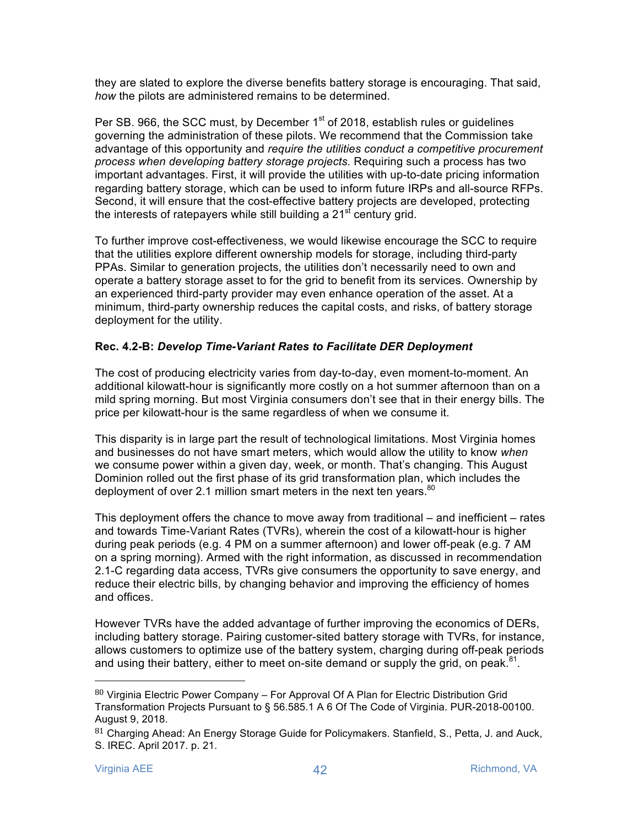they are slated to explore the diverse benefits battery storage is encouraging. That said, *how* the pilots are administered remains to be determined.

Per SB, 966, the SCC must, by December 1<sup>st</sup> of 2018, establish rules or quidelines governing the administration of these pilots. We recommend that the Commission take advantage of this opportunity and *require the utilities conduct a competitive procurement process when developing battery storage projects.* Requiring such a process has two important advantages. First, it will provide the utilities with up-to-date pricing information regarding battery storage, which can be used to inform future IRPs and all-source RFPs. Second, it will ensure that the cost-effective battery projects are developed, protecting the interests of ratepayers while still building a  $21<sup>st</sup>$  century grid.

To further improve cost-effectiveness, we would likewise encourage the SCC to require that the utilities explore different ownership models for storage, including third-party PPAs. Similar to generation projects, the utilities don't necessarily need to own and operate a battery storage asset to for the grid to benefit from its services. Ownership by an experienced third-party provider may even enhance operation of the asset. At a minimum, third-party ownership reduces the capital costs, and risks, of battery storage deployment for the utility.

#### **Rec. 4.2-B:** *Develop Time-Variant Rates to Facilitate DER Deployment*

The cost of producing electricity varies from day-to-day, even moment-to-moment. An additional kilowatt-hour is significantly more costly on a hot summer afternoon than on a mild spring morning. But most Virginia consumers don't see that in their energy bills. The price per kilowatt-hour is the same regardless of when we consume it.

This disparity is in large part the result of technological limitations. Most Virginia homes and businesses do not have smart meters, which would allow the utility to know *when* we consume power within a given day, week, or month. That's changing. This August Dominion rolled out the first phase of its grid transformation plan, which includes the deployment of over 2.1 million smart meters in the next ten years. $80$ 

This deployment offers the chance to move away from traditional – and inefficient – rates and towards Time-Variant Rates (TVRs), wherein the cost of a kilowatt-hour is higher during peak periods (e.g. 4 PM on a summer afternoon) and lower off-peak (e.g. 7 AM on a spring morning). Armed with the right information, as discussed in recommendation 2.1-C regarding data access, TVRs give consumers the opportunity to save energy, and reduce their electric bills, by changing behavior and improving the efficiency of homes and offices.

However TVRs have the added advantage of further improving the economics of DERs, including battery storage. Pairing customer-sited battery storage with TVRs, for instance, allows customers to optimize use of the battery system, charging during off-peak periods and using their battery, either to meet on-site demand or supply the grid, on peak. $81$ .

 $80$  Virginia Electric Power Company – For Approval Of A Plan for Electric Distribution Grid Transformation Projects Pursuant to § 56.585.1 A 6 Of The Code of Virginia. PUR-2018-00100. August 9, 2018.

<sup>81</sup> Charging Ahead: An Energy Storage Guide for Policymakers. Stanfield, S., Petta, J. and Auck, S. IREC. April 2017. p. 21.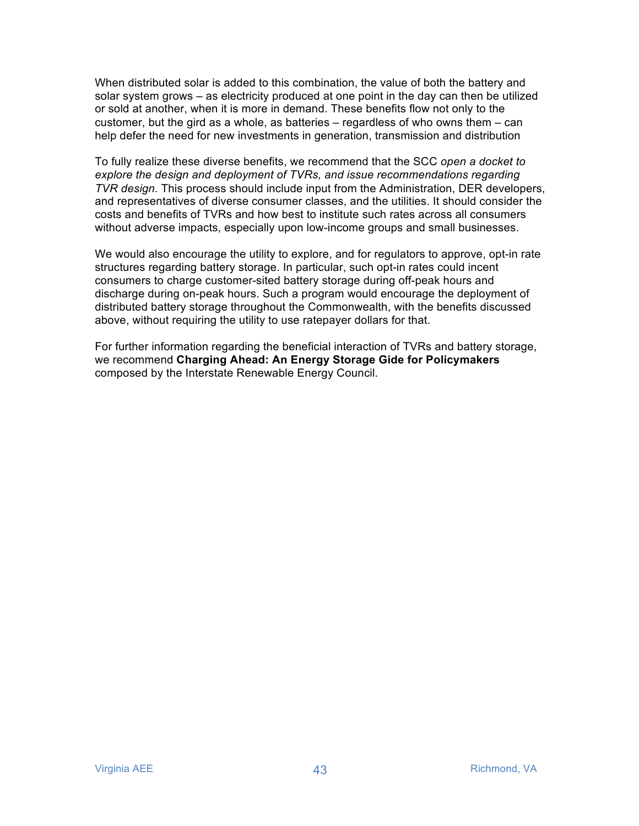When distributed solar is added to this combination, the value of both the battery and solar system grows – as electricity produced at one point in the day can then be utilized or sold at another, when it is more in demand. These benefits flow not only to the customer, but the gird as a whole, as batteries – regardless of who owns them – can help defer the need for new investments in generation, transmission and distribution

To fully realize these diverse benefits, we recommend that the SCC *open a docket to explore the design and deployment of TVRs, and issue recommendations regarding TVR design.* This process should include input from the Administration, DER developers, and representatives of diverse consumer classes, and the utilities. It should consider the costs and benefits of TVRs and how best to institute such rates across all consumers without adverse impacts, especially upon low-income groups and small businesses.

We would also encourage the utility to explore, and for regulators to approve, opt-in rate structures regarding battery storage. In particular, such opt-in rates could incent consumers to charge customer-sited battery storage during off-peak hours and discharge during on-peak hours. Such a program would encourage the deployment of distributed battery storage throughout the Commonwealth, with the benefits discussed above, without requiring the utility to use ratepayer dollars for that.

For further information regarding the beneficial interaction of TVRs and battery storage, we recommend **Charging Ahead: An Energy Storage Gide for Policymakers** composed by the Interstate Renewable Energy Council.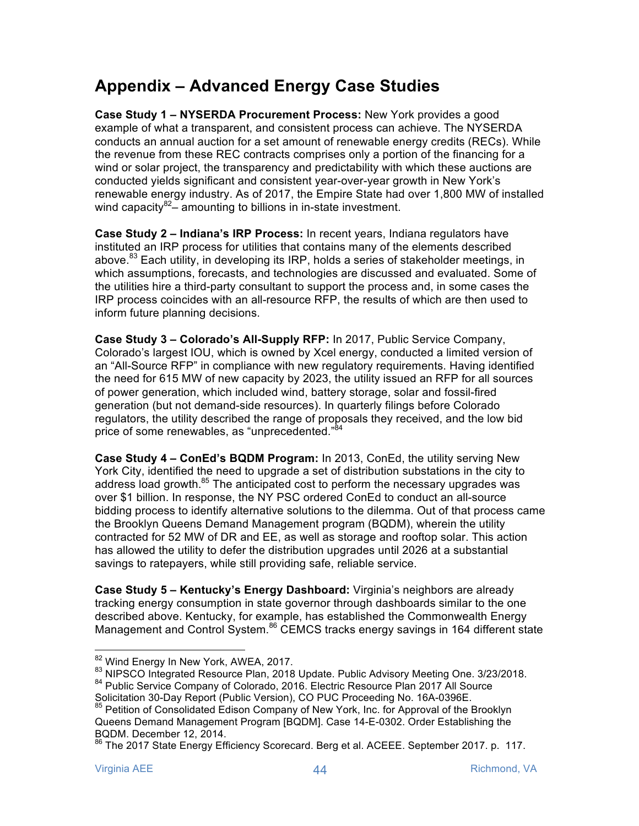# **Appendix – Advanced Energy Case Studies**

**Case Study 1 – NYSERDA Procurement Process:** New York provides a good example of what a transparent, and consistent process can achieve. The NYSERDA conducts an annual auction for a set amount of renewable energy credits (RECs). While the revenue from these REC contracts comprises only a portion of the financing for a wind or solar project, the transparency and predictability with which these auctions are conducted yields significant and consistent year-over-year growth in New York's renewable energy industry. As of 2017, the Empire State had over 1,800 MW of installed wind capacity $82-$  amounting to billions in in-state investment.

**Case Study 2 – Indiana's IRP Process:** In recent years, Indiana regulators have instituted an IRP process for utilities that contains many of the elements described above.<sup>83</sup> Each utility, in developing its IRP, holds a series of stakeholder meetings, in which assumptions, forecasts, and technologies are discussed and evaluated. Some of the utilities hire a third-party consultant to support the process and, in some cases the IRP process coincides with an all-resource RFP, the results of which are then used to inform future planning decisions.

**Case Study 3 – Colorado's All-Supply RFP:** In 2017, Public Service Company, Colorado's largest IOU, which is owned by Xcel energy, conducted a limited version of an "All-Source RFP" in compliance with new regulatory requirements. Having identified the need for 615 MW of new capacity by 2023, the utility issued an RFP for all sources of power generation, which included wind, battery storage, solar and fossil-fired generation (but not demand-side resources). In quarterly filings before Colorado regulators, the utility described the range of proposals they received, and the low bid price of some renewables, as "unprecedented."<sup>84</sup>

**Case Study 4 – ConEd's BQDM Program:** In 2013, ConEd, the utility serving New York City, identified the need to upgrade a set of distribution substations in the city to address load growth.<sup>85</sup> The anticipated cost to perform the necessary upgrades was over \$1 billion. In response, the NY PSC ordered ConEd to conduct an all-source bidding process to identify alternative solutions to the dilemma. Out of that process came the Brooklyn Queens Demand Management program (BQDM), wherein the utility contracted for 52 MW of DR and EE, as well as storage and rooftop solar. This action has allowed the utility to defer the distribution upgrades until 2026 at a substantial savings to ratepayers, while still providing safe, reliable service.

**Case Study 5 – Kentucky's Energy Dashboard:** Virginia's neighbors are already tracking energy consumption in state governor through dashboards similar to the one described above. Kentucky, for example, has established the Commonwealth Energy Management and Control System.<sup>86</sup> CEMCS tracks energy savings in 164 different state

<sup>&</sup>lt;sup>82</sup> Wind Energy In New York, AWEA, 2017.<br><sup>83</sup> NIPSCO Integrated Resource Plan, 2018 Update. Public Advisory Meeting One. 3/23/2018.

<sup>84</sup> Public Service Company of Colorado, 2016. Electric Resource Plan 2017 All Source

Solicitation 30-Day Report (Public Version), CO PUC Proceeding No. 16A-0396E. <sup>85</sup> Petition of Consolidated Edison Company of New York, Inc. for Approval of the Brooklyn

Queens Demand Management Program [BQDM]. Case 14-E-0302. Order Establishing the BQDM. December 12, 2014.

<sup>&</sup>lt;sup>86</sup> The 2017 State Energy Efficiency Scorecard. Berg et al. ACEEE. September 2017. p. 117.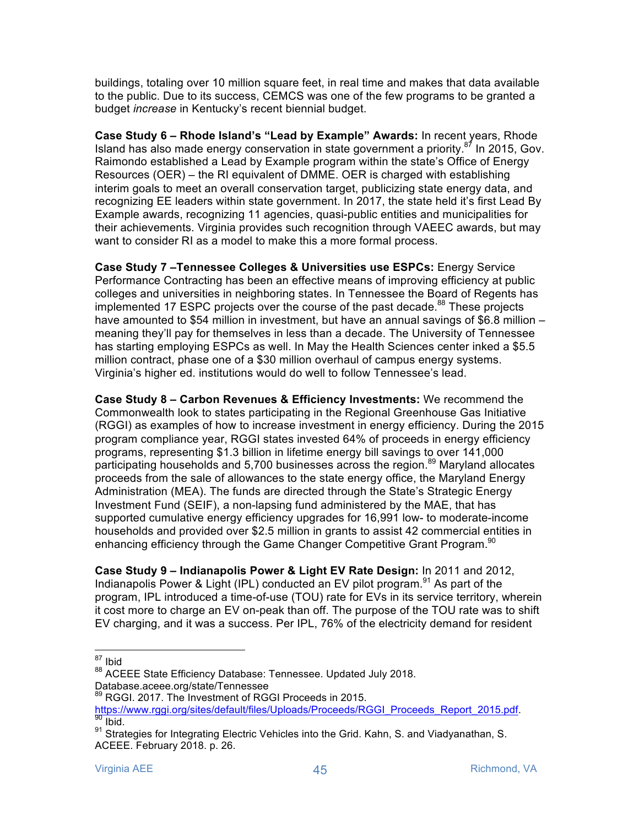buildings, totaling over 10 million square feet, in real time and makes that data available to the public. Due to its success, CEMCS was one of the few programs to be granted a budget *increase* in Kentucky's recent biennial budget.

**Case Study 6 – Rhode Island's "Lead by Example" Awards:** In recent years, Rhode Island has also made energy conservation in state government a priority. $87$  In 2015, Gov. Raimondo established a Lead by Example program within the state's Office of Energy Resources (OER) – the RI equivalent of DMME. OER is charged with establishing interim goals to meet an overall conservation target, publicizing state energy data, and recognizing EE leaders within state government. In 2017, the state held it's first Lead By Example awards, recognizing 11 agencies, quasi-public entities and municipalities for their achievements. Virginia provides such recognition through VAEEC awards, but may want to consider RI as a model to make this a more formal process.

**Case Study 7 –Tennessee Colleges & Universities use ESPCs:** Energy Service Performance Contracting has been an effective means of improving efficiency at public colleges and universities in neighboring states. In Tennessee the Board of Regents has implemented 17 ESPC projects over the course of the past decade.<sup>88</sup> These projects have amounted to \$54 million in investment, but have an annual savings of \$6.8 million meaning they'll pay for themselves in less than a decade. The University of Tennessee has starting employing ESPCs as well. In May the Health Sciences center inked a \$5.5 million contract, phase one of a \$30 million overhaul of campus energy systems. Virginia's higher ed. institutions would do well to follow Tennessee's lead.

**Case Study 8 – Carbon Revenues & Efficiency Investments:** We recommend the Commonwealth look to states participating in the Regional Greenhouse Gas Initiative (RGGI) as examples of how to increase investment in energy efficiency. During the 2015 program compliance year, RGGI states invested 64% of proceeds in energy efficiency programs, representing \$1.3 billion in lifetime energy bill savings to over 141,000 participating households and 5,700 businesses across the region.<sup>89</sup> Maryland allocates proceeds from the sale of allowances to the state energy office, the Maryland Energy Administration (MEA). The funds are directed through the State's Strategic Energy Investment Fund (SEIF), a non-lapsing fund administered by the MAE, that has supported cumulative energy efficiency upgrades for 16,991 low- to moderate-income households and provided over \$2.5 million in grants to assist 42 commercial entities in enhancing efficiency through the Game Changer Competitive Grant Program.<sup>90</sup>

**Case Study 9 – Indianapolis Power & Light EV Rate Design:** In 2011 and 2012, Indianapolis Power & Light (IPL) conducted an EV pilot program.<sup>91</sup> As part of the program, IPL introduced a time-of-use (TOU) rate for EVs in its service territory, wherein it cost more to charge an EV on-peak than off. The purpose of the TOU rate was to shift EV charging, and it was a success. Per IPL, 76% of the electricity demand for resident

 <sup>87</sup> Ibid

<sup>88</sup> ACEEE State Efficiency Database: Tennessee. Updated July 2018. Database.aceee.org/state/Tennessee

<sup>89</sup> RGGI. 2017. The Investment of RGGI Proceeds in 2015.

https://www.rggi.org/sites/default/files/Uploads/Proceeds/RGGI\_Proceeds\_Report\_2015.pdf.<br><sup>90</sup> Ibid.

<sup>91</sup> Strategies for Integrating Electric Vehicles into the Grid. Kahn, S. and Viadyanathan, S. ACEEE. February 2018. p. 26.